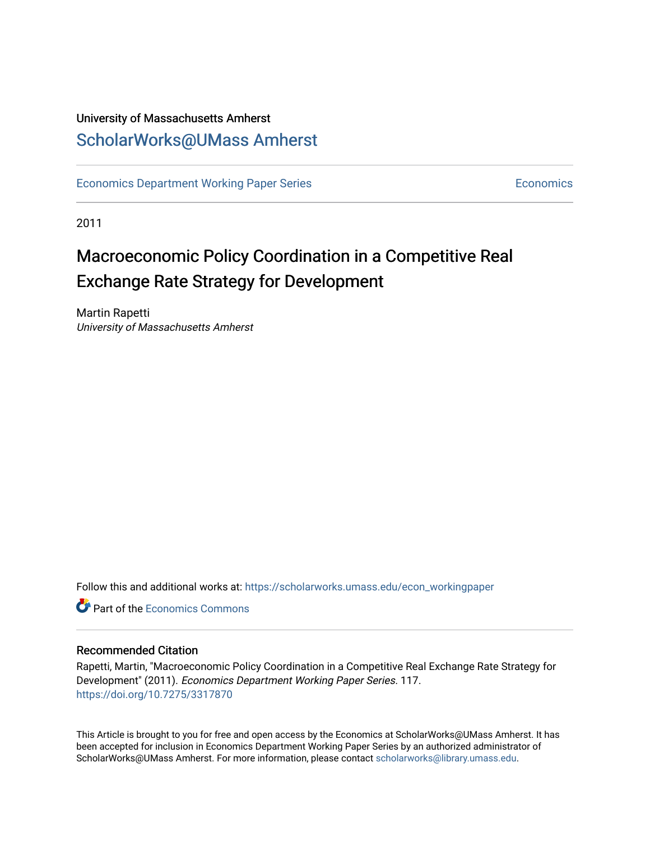### University of Massachusetts Amherst [ScholarWorks@UMass Amherst](https://scholarworks.umass.edu/)

[Economics Department Working Paper Series](https://scholarworks.umass.edu/econ_workingpaper) **Economics** [Economics](https://scholarworks.umass.edu/economics) Economics

2011

## Macroeconomic Policy Coordination in a Competitive Real Exchange Rate Strategy for Development

Martin Rapetti University of Massachusetts Amherst

Follow this and additional works at: [https://scholarworks.umass.edu/econ\\_workingpaper](https://scholarworks.umass.edu/econ_workingpaper?utm_source=scholarworks.umass.edu%2Fecon_workingpaper%2F117&utm_medium=PDF&utm_campaign=PDFCoverPages) 

**C** Part of the [Economics Commons](http://network.bepress.com/hgg/discipline/340?utm_source=scholarworks.umass.edu%2Fecon_workingpaper%2F117&utm_medium=PDF&utm_campaign=PDFCoverPages)

#### Recommended Citation

Rapetti, Martin, "Macroeconomic Policy Coordination in a Competitive Real Exchange Rate Strategy for Development" (2011). Economics Department Working Paper Series. 117. <https://doi.org/10.7275/3317870>

This Article is brought to you for free and open access by the Economics at ScholarWorks@UMass Amherst. It has been accepted for inclusion in Economics Department Working Paper Series by an authorized administrator of ScholarWorks@UMass Amherst. For more information, please contact [scholarworks@library.umass.edu.](mailto:scholarworks@library.umass.edu)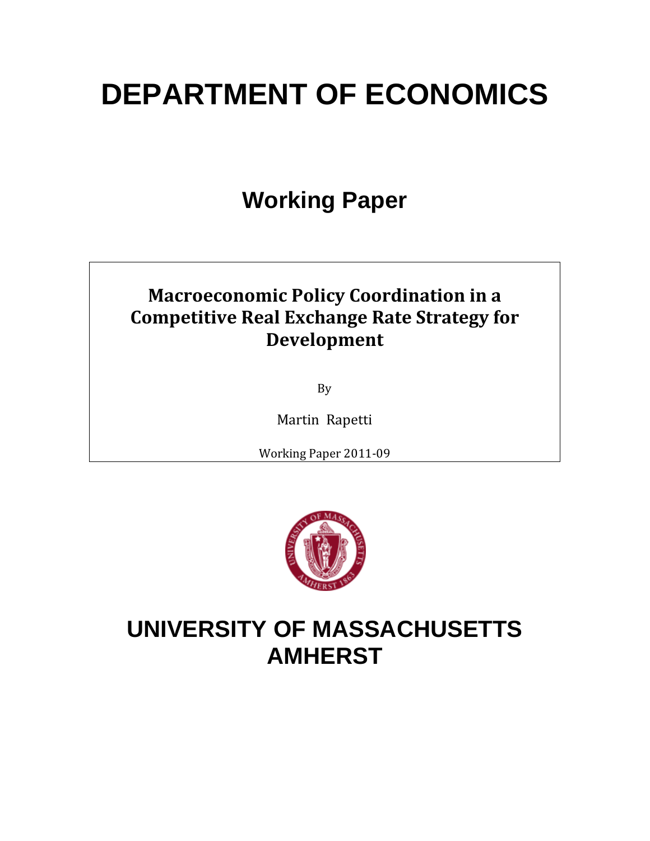# **DEPARTMENT OF ECONOMICS**

## **Working Paper**

## **Macroeconomic Policy Coordination in a Competitive Real Exchange Rate Strategy for Development**

By

Martin Rapetti

Working Paper 2011‐09



## **UNIVERSITY OF MASSACHUSETTS AMHERST**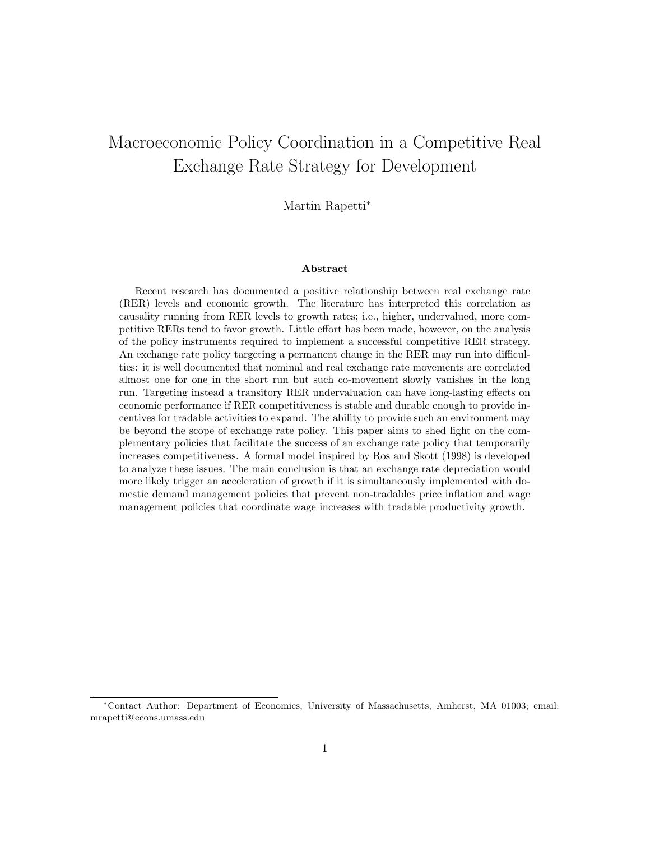### Macroeconomic Policy Coordination in a Competitive Real Exchange Rate Strategy for Development

Martin Rapetti<sup>∗</sup>

#### Abstract

Recent research has documented a positive relationship between real exchange rate (RER) levels and economic growth. The literature has interpreted this correlation as causality running from RER levels to growth rates; i.e., higher, undervalued, more competitive RERs tend to favor growth. Little effort has been made, however, on the analysis of the policy instruments required to implement a successful competitive RER strategy. An exchange rate policy targeting a permanent change in the RER may run into difficulties: it is well documented that nominal and real exchange rate movements are correlated almost one for one in the short run but such co-movement slowly vanishes in the long run. Targeting instead a transitory RER undervaluation can have long-lasting effects on economic performance if RER competitiveness is stable and durable enough to provide incentives for tradable activities to expand. The ability to provide such an environment may be beyond the scope of exchange rate policy. This paper aims to shed light on the complementary policies that facilitate the success of an exchange rate policy that temporarily increases competitiveness. A formal model inspired by Ros and Skott (1998) is developed to analyze these issues. The main conclusion is that an exchange rate depreciation would more likely trigger an acceleration of growth if it is simultaneously implemented with domestic demand management policies that prevent non-tradables price inflation and wage management policies that coordinate wage increases with tradable productivity growth.

<sup>∗</sup>Contact Author: Department of Economics, University of Massachusetts, Amherst, MA 01003; email: mrapetti@econs.umass.edu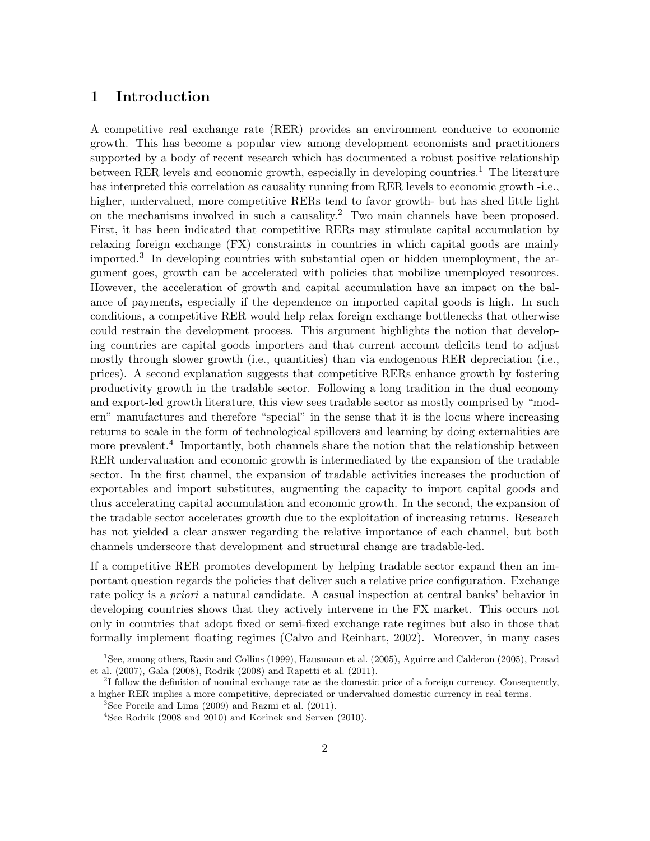#### 1 Introduction

A competitive real exchange rate (RER) provides an environment conducive to economic growth. This has become a popular view among development economists and practitioners supported by a body of recent research which has documented a robust positive relationship between RER levels and economic growth, especially in developing countries.<sup>1</sup> The literature has interpreted this correlation as causality running from RER levels to economic growth -i.e., higher, undervalued, more competitive RERs tend to favor growth- but has shed little light on the mechanisms involved in such a causality.<sup>2</sup> Two main channels have been proposed. First, it has been indicated that competitive RERs may stimulate capital accumulation by relaxing foreign exchange (FX) constraints in countries in which capital goods are mainly imported.<sup>3</sup> In developing countries with substantial open or hidden unemployment, the argument goes, growth can be accelerated with policies that mobilize unemployed resources. However, the acceleration of growth and capital accumulation have an impact on the balance of payments, especially if the dependence on imported capital goods is high. In such conditions, a competitive RER would help relax foreign exchange bottlenecks that otherwise could restrain the development process. This argument highlights the notion that developing countries are capital goods importers and that current account deficits tend to adjust mostly through slower growth (i.e., quantities) than via endogenous RER depreciation (i.e., prices). A second explanation suggests that competitive RERs enhance growth by fostering productivity growth in the tradable sector. Following a long tradition in the dual economy and export-led growth literature, this view sees tradable sector as mostly comprised by "modern" manufactures and therefore "special" in the sense that it is the locus where increasing returns to scale in the form of technological spillovers and learning by doing externalities are more prevalent.<sup>4</sup> Importantly, both channels share the notion that the relationship between RER undervaluation and economic growth is intermediated by the expansion of the tradable sector. In the first channel, the expansion of tradable activities increases the production of exportables and import substitutes, augmenting the capacity to import capital goods and thus accelerating capital accumulation and economic growth. In the second, the expansion of the tradable sector accelerates growth due to the exploitation of increasing returns. Research has not yielded a clear answer regarding the relative importance of each channel, but both channels underscore that development and structural change are tradable-led.

If a competitive RER promotes development by helping tradable sector expand then an important question regards the policies that deliver such a relative price configuration. Exchange rate policy is a priori a natural candidate. A casual inspection at central banks' behavior in developing countries shows that they actively intervene in the FX market. This occurs not only in countries that adopt fixed or semi-fixed exchange rate regimes but also in those that formally implement floating regimes (Calvo and Reinhart, 2002). Moreover, in many cases

<sup>1</sup>See, among others, Razin and Collins (1999), Hausmann et al. (2005), Aguirre and Calderon (2005), Prasad et al. (2007), Gala (2008), Rodrik (2008) and Rapetti et al. (2011).

<sup>&</sup>lt;sup>2</sup>I follow the definition of nominal exchange rate as the domestic price of a foreign currency. Consequently, a higher RER implies a more competitive, depreciated or undervalued domestic currency in real terms.

 ${}^{3}$ See Porcile and Lima (2009) and Razmi et al. (2011).

<sup>4</sup>See Rodrik (2008 and 2010) and Korinek and Serven (2010).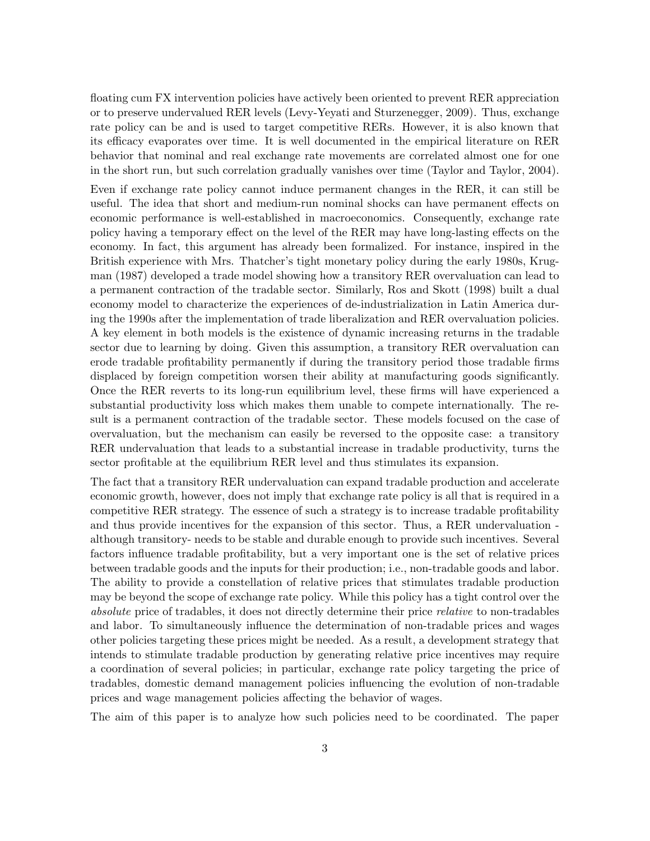floating cum FX intervention policies have actively been oriented to prevent RER appreciation or to preserve undervalued RER levels (Levy-Yeyati and Sturzenegger, 2009). Thus, exchange rate policy can be and is used to target competitive RERs. However, it is also known that its efficacy evaporates over time. It is well documented in the empirical literature on RER behavior that nominal and real exchange rate movements are correlated almost one for one in the short run, but such correlation gradually vanishes over time (Taylor and Taylor, 2004).

Even if exchange rate policy cannot induce permanent changes in the RER, it can still be useful. The idea that short and medium-run nominal shocks can have permanent effects on economic performance is well-established in macroeconomics. Consequently, exchange rate policy having a temporary effect on the level of the RER may have long-lasting effects on the economy. In fact, this argument has already been formalized. For instance, inspired in the British experience with Mrs. Thatcher's tight monetary policy during the early 1980s, Krugman (1987) developed a trade model showing how a transitory RER overvaluation can lead to a permanent contraction of the tradable sector. Similarly, Ros and Skott (1998) built a dual economy model to characterize the experiences of de-industrialization in Latin America during the 1990s after the implementation of trade liberalization and RER overvaluation policies. A key element in both models is the existence of dynamic increasing returns in the tradable sector due to learning by doing. Given this assumption, a transitory RER overvaluation can erode tradable profitability permanently if during the transitory period those tradable firms displaced by foreign competition worsen their ability at manufacturing goods significantly. Once the RER reverts to its long-run equilibrium level, these firms will have experienced a substantial productivity loss which makes them unable to compete internationally. The result is a permanent contraction of the tradable sector. These models focused on the case of overvaluation, but the mechanism can easily be reversed to the opposite case: a transitory RER undervaluation that leads to a substantial increase in tradable productivity, turns the sector profitable at the equilibrium RER level and thus stimulates its expansion.

The fact that a transitory RER undervaluation can expand tradable production and accelerate economic growth, however, does not imply that exchange rate policy is all that is required in a competitive RER strategy. The essence of such a strategy is to increase tradable profitability and thus provide incentives for the expansion of this sector. Thus, a RER undervaluation although transitory- needs to be stable and durable enough to provide such incentives. Several factors influence tradable profitability, but a very important one is the set of relative prices between tradable goods and the inputs for their production; i.e., non-tradable goods and labor. The ability to provide a constellation of relative prices that stimulates tradable production may be beyond the scope of exchange rate policy. While this policy has a tight control over the absolute price of tradables, it does not directly determine their price relative to non-tradables and labor. To simultaneously influence the determination of non-tradable prices and wages other policies targeting these prices might be needed. As a result, a development strategy that intends to stimulate tradable production by generating relative price incentives may require a coordination of several policies; in particular, exchange rate policy targeting the price of tradables, domestic demand management policies influencing the evolution of non-tradable prices and wage management policies affecting the behavior of wages.

The aim of this paper is to analyze how such policies need to be coordinated. The paper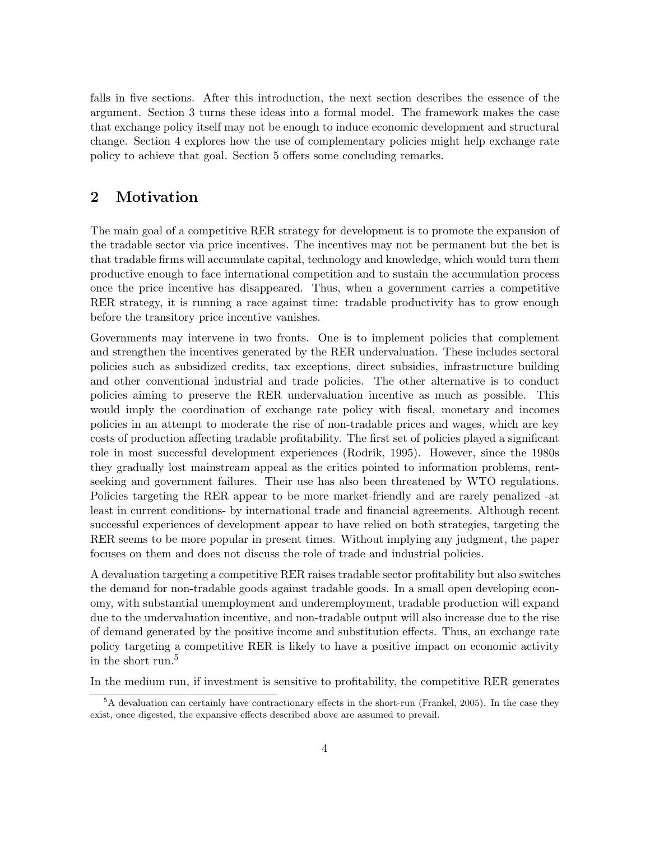falls in five sections. After this introduction, the next section describes the essence of the argument. Section 3 turns these ideas into a formal model. The framework makes the case that exchange policy itself may not be enough to induce economic development and structural change. Section 4 explores how the use of complementary policies might help exchange rate policy to achieve that goal. Section 5 offers some concluding remarks.

#### 2 Motivation

The main goal of a competitive RER strategy for development is to promote the expansion of the tradable sector via price incentives. The incentives may not be permanent but the bet is that tradable firms will accumulate capital, technology and knowledge, which would turn them productive enough to face international competition and to sustain the accumulation process once the price incentive has disappeared. Thus, when a government carries a competitive RER strategy, it is running a race against time: tradable productivity has to grow enough before the transitory price incentive vanishes.

Governments may intervene in two fronts. One is to implement policies that complement and strengthen the incentives generated by the RER undervaluation. These includes sectoral policies such as subsidized credits, tax exceptions, direct subsidies, infrastructure building and other conventional industrial and trade policies. The other alternative is to conduct policies aiming to preserve the RER undervaluation incentive as much as possible. This would imply the coordination of exchange rate policy with fiscal, monetary and incomes policies in an attempt to moderate the rise of non-tradable prices and wages, which are key costs of production affecting tradable profitability. The first set of policies played a significant role in most successful development experiences (Rodrik, 1995). However, since the 1980s they gradually lost mainstream appeal as the critics pointed to information problems, rentseeking and government failures. Their use has also been threatened by WTO regulations. Policies targeting the RER appear to be more market-friendly and are rarely penalized -at least in current conditions- by international trade and financial agreements. Although recent successful experiences of development appear to have relied on both strategies, targeting the RER seems to be more popular in present times. Without implying any judgment, the paper focuses on them and does not discuss the role of trade and industrial policies.

A devaluation targeting a competitive RER raises tradable sector profitability but also switches the demand for non-tradable goods against tradable goods. In a small open developing economy, with substantial unemployment and underemployment, tradable production will expand due to the undervaluation incentive, and non-tradable output will also increase due to the rise of demand generated by the positive income and substitution effects. Thus, an exchange rate policy targeting a competitive RER is likely to have a positive impact on economic activity in the short run.<sup>5</sup>

In the medium run, if investment is sensitive to profitability, the competitive RER generates

 ${}^5A$  devaluation can certainly have contractionary effects in the short-run (Frankel, 2005). In the case they exist, once digested, the expansive effects described above are assumed to prevail.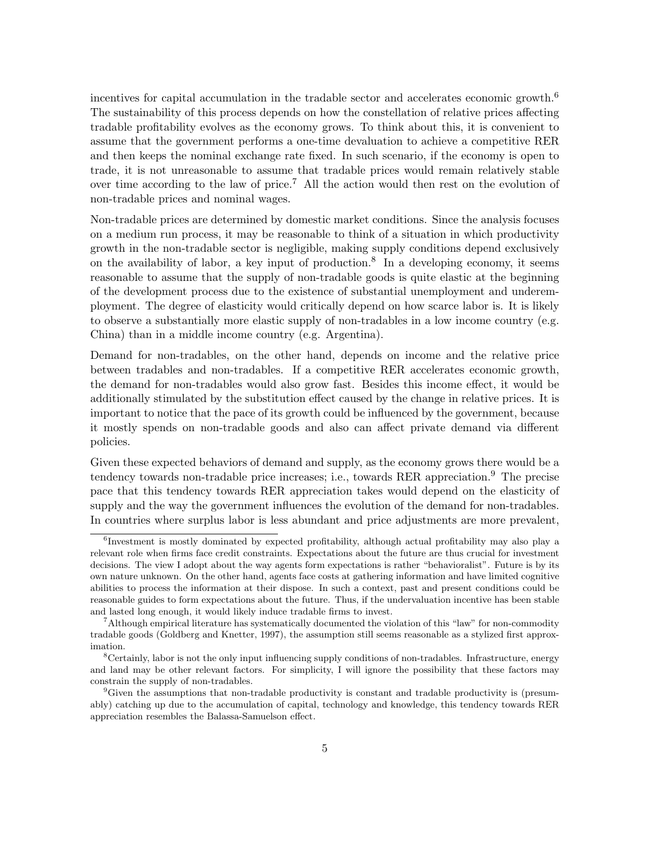incentives for capital accumulation in the tradable sector and accelerates economic growth.<sup>6</sup> The sustainability of this process depends on how the constellation of relative prices affecting tradable profitability evolves as the economy grows. To think about this, it is convenient to assume that the government performs a one-time devaluation to achieve a competitive RER and then keeps the nominal exchange rate fixed. In such scenario, if the economy is open to trade, it is not unreasonable to assume that tradable prices would remain relatively stable over time according to the law of price.<sup>7</sup> All the action would then rest on the evolution of non-tradable prices and nominal wages.

Non-tradable prices are determined by domestic market conditions. Since the analysis focuses on a medium run process, it may be reasonable to think of a situation in which productivity growth in the non-tradable sector is negligible, making supply conditions depend exclusively on the availability of labor, a key input of production.<sup>8</sup> In a developing economy, it seems reasonable to assume that the supply of non-tradable goods is quite elastic at the beginning of the development process due to the existence of substantial unemployment and underemployment. The degree of elasticity would critically depend on how scarce labor is. It is likely to observe a substantially more elastic supply of non-tradables in a low income country (e.g. China) than in a middle income country (e.g. Argentina).

Demand for non-tradables, on the other hand, depends on income and the relative price between tradables and non-tradables. If a competitive RER accelerates economic growth, the demand for non-tradables would also grow fast. Besides this income effect, it would be additionally stimulated by the substitution effect caused by the change in relative prices. It is important to notice that the pace of its growth could be influenced by the government, because it mostly spends on non-tradable goods and also can affect private demand via different policies.

Given these expected behaviors of demand and supply, as the economy grows there would be a tendency towards non-tradable price increases; i.e., towards RER appreciation.<sup>9</sup> The precise pace that this tendency towards RER appreciation takes would depend on the elasticity of supply and the way the government influences the evolution of the demand for non-tradables. In countries where surplus labor is less abundant and price adjustments are more prevalent,

<sup>6</sup> Investment is mostly dominated by expected profitability, although actual profitability may also play a relevant role when firms face credit constraints. Expectations about the future are thus crucial for investment decisions. The view I adopt about the way agents form expectations is rather "behavioralist". Future is by its own nature unknown. On the other hand, agents face costs at gathering information and have limited cognitive abilities to process the information at their dispose. In such a context, past and present conditions could be reasonable guides to form expectations about the future. Thus, if the undervaluation incentive has been stable and lasted long enough, it would likely induce tradable firms to invest.

<sup>&</sup>lt;sup>7</sup>Although empirical literature has systematically documented the violation of this "law" for non-commodity tradable goods (Goldberg and Knetter, 1997), the assumption still seems reasonable as a stylized first approximation.

<sup>8</sup>Certainly, labor is not the only input influencing supply conditions of non-tradables. Infrastructure, energy and land may be other relevant factors. For simplicity, I will ignore the possibility that these factors may constrain the supply of non-tradables.

<sup>9</sup>Given the assumptions that non-tradable productivity is constant and tradable productivity is (presumably) catching up due to the accumulation of capital, technology and knowledge, this tendency towards RER appreciation resembles the Balassa-Samuelson effect.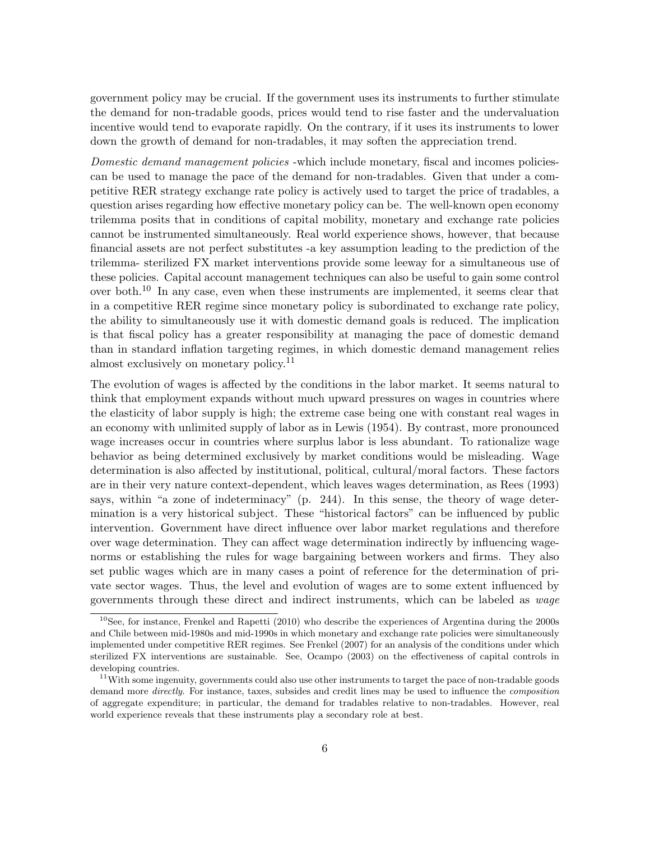government policy may be crucial. If the government uses its instruments to further stimulate the demand for non-tradable goods, prices would tend to rise faster and the undervaluation incentive would tend to evaporate rapidly. On the contrary, if it uses its instruments to lower down the growth of demand for non-tradables, it may soften the appreciation trend.

Domestic demand management policies -which include monetary, fiscal and incomes policiescan be used to manage the pace of the demand for non-tradables. Given that under a competitive RER strategy exchange rate policy is actively used to target the price of tradables, a question arises regarding how effective monetary policy can be. The well-known open economy trilemma posits that in conditions of capital mobility, monetary and exchange rate policies cannot be instrumented simultaneously. Real world experience shows, however, that because financial assets are not perfect substitutes -a key assumption leading to the prediction of the trilemma- sterilized FX market interventions provide some leeway for a simultaneous use of these policies. Capital account management techniques can also be useful to gain some control over both.<sup>10</sup> In any case, even when these instruments are implemented, it seems clear that in a competitive RER regime since monetary policy is subordinated to exchange rate policy, the ability to simultaneously use it with domestic demand goals is reduced. The implication is that fiscal policy has a greater responsibility at managing the pace of domestic demand than in standard inflation targeting regimes, in which domestic demand management relies almost exclusively on monetary policy.<sup>11</sup>

The evolution of wages is affected by the conditions in the labor market. It seems natural to think that employment expands without much upward pressures on wages in countries where the elasticity of labor supply is high; the extreme case being one with constant real wages in an economy with unlimited supply of labor as in Lewis (1954). By contrast, more pronounced wage increases occur in countries where surplus labor is less abundant. To rationalize wage behavior as being determined exclusively by market conditions would be misleading. Wage determination is also affected by institutional, political, cultural/moral factors. These factors are in their very nature context-dependent, which leaves wages determination, as Rees (1993) says, within "a zone of indeterminacy" (p. 244). In this sense, the theory of wage determination is a very historical subject. These "historical factors" can be influenced by public intervention. Government have direct influence over labor market regulations and therefore over wage determination. They can affect wage determination indirectly by influencing wagenorms or establishing the rules for wage bargaining between workers and firms. They also set public wages which are in many cases a point of reference for the determination of private sector wages. Thus, the level and evolution of wages are to some extent influenced by governments through these direct and indirect instruments, which can be labeled as wage

 $10$ See, for instance, Frenkel and Rapetti (2010) who describe the experiences of Argentina during the 2000s and Chile between mid-1980s and mid-1990s in which monetary and exchange rate policies were simultaneously implemented under competitive RER regimes. See Frenkel (2007) for an analysis of the conditions under which sterilized FX interventions are sustainable. See, Ocampo (2003) on the effectiveness of capital controls in developing countries.

<sup>&</sup>lt;sup>11</sup>With some ingenuity, governments could also use other instruments to target the pace of non-tradable goods demand more *directly*. For instance, taxes, subsides and credit lines may be used to influence the *composition* of aggregate expenditure; in particular, the demand for tradables relative to non-tradables. However, real world experience reveals that these instruments play a secondary role at best.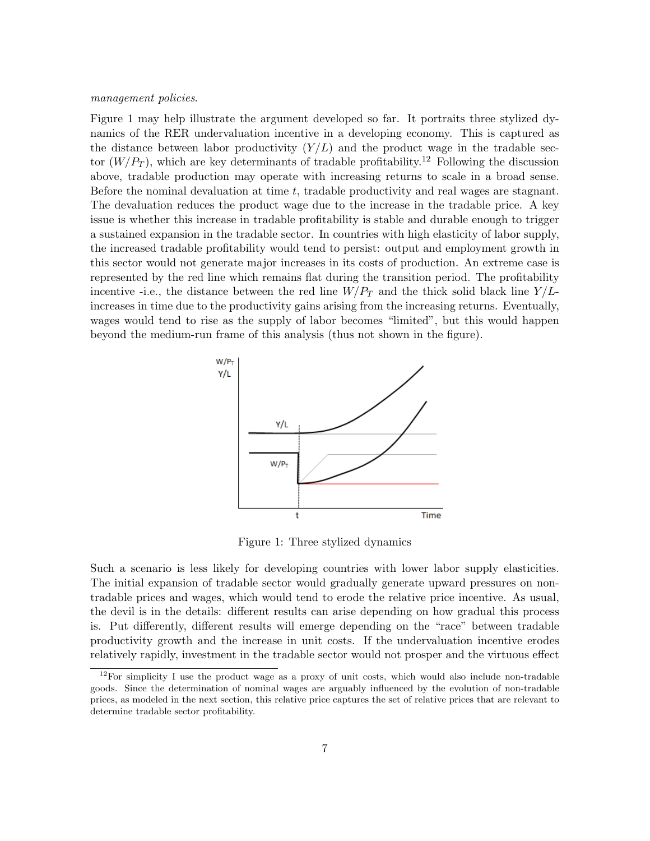#### management policies.

Figure 1 may help illustrate the argument developed so far. It portraits three stylized dynamics of the RER undervaluation incentive in a developing economy. This is captured as the distance between labor productivity  $(Y/L)$  and the product wage in the tradable sector  $(W/P_T)$ , which are key determinants of tradable profitability.<sup>12</sup> Following the discussion above, tradable production may operate with increasing returns to scale in a broad sense. Before the nominal devaluation at time  $t$ , tradable productivity and real wages are stagnant. The devaluation reduces the product wage due to the increase in the tradable price. A key issue is whether this increase in tradable profitability is stable and durable enough to trigger a sustained expansion in the tradable sector. In countries with high elasticity of labor supply, the increased tradable profitability would tend to persist: output and employment growth in this sector would not generate major increases in its costs of production. An extreme case is represented by the red line which remains flat during the transition period. The profitability incentive -i.e., the distance between the red line  $W/P_T$  and the thick solid black line  $Y/L$ increases in time due to the productivity gains arising from the increasing returns. Eventually, wages would tend to rise as the supply of labor becomes "limited", but this would happen beyond the medium-run frame of this analysis (thus not shown in the figure).



Figure 1: Three stylized dynamics

Such a scenario is less likely for developing countries with lower labor supply elasticities. The initial expansion of tradable sector would gradually generate upward pressures on nontradable prices and wages, which would tend to erode the relative price incentive. As usual, the devil is in the details: different results can arise depending on how gradual this process is. Put differently, different results will emerge depending on the "race" between tradable productivity growth and the increase in unit costs. If the undervaluation incentive erodes relatively rapidly, investment in the tradable sector would not prosper and the virtuous effect

 $12$ For simplicity I use the product wage as a proxy of unit costs, which would also include non-tradable goods. Since the determination of nominal wages are arguably influenced by the evolution of non-tradable prices, as modeled in the next section, this relative price captures the set of relative prices that are relevant to determine tradable sector profitability.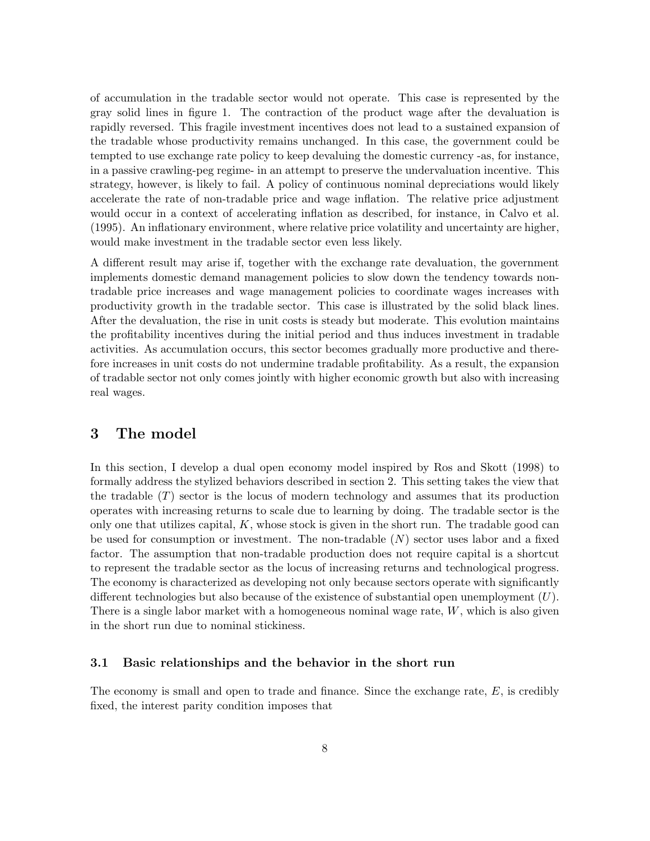of accumulation in the tradable sector would not operate. This case is represented by the gray solid lines in figure 1. The contraction of the product wage after the devaluation is rapidly reversed. This fragile investment incentives does not lead to a sustained expansion of the tradable whose productivity remains unchanged. In this case, the government could be tempted to use exchange rate policy to keep devaluing the domestic currency -as, for instance, in a passive crawling-peg regime- in an attempt to preserve the undervaluation incentive. This strategy, however, is likely to fail. A policy of continuous nominal depreciations would likely accelerate the rate of non-tradable price and wage inflation. The relative price adjustment would occur in a context of accelerating inflation as described, for instance, in Calvo et al. (1995). An inflationary environment, where relative price volatility and uncertainty are higher, would make investment in the tradable sector even less likely.

A different result may arise if, together with the exchange rate devaluation, the government implements domestic demand management policies to slow down the tendency towards nontradable price increases and wage management policies to coordinate wages increases with productivity growth in the tradable sector. This case is illustrated by the solid black lines. After the devaluation, the rise in unit costs is steady but moderate. This evolution maintains the profitability incentives during the initial period and thus induces investment in tradable activities. As accumulation occurs, this sector becomes gradually more productive and therefore increases in unit costs do not undermine tradable profitability. As a result, the expansion of tradable sector not only comes jointly with higher economic growth but also with increasing real wages.

#### 3 The model

In this section, I develop a dual open economy model inspired by Ros and Skott (1998) to formally address the stylized behaviors described in section 2. This setting takes the view that the tradable  $(T)$  sector is the locus of modern technology and assumes that its production operates with increasing returns to scale due to learning by doing. The tradable sector is the only one that utilizes capital,  $K$ , whose stock is given in the short run. The tradable good can be used for consumption or investment. The non-tradable  $(N)$  sector uses labor and a fixed factor. The assumption that non-tradable production does not require capital is a shortcut to represent the tradable sector as the locus of increasing returns and technological progress. The economy is characterized as developing not only because sectors operate with significantly different technologies but also because of the existence of substantial open unemployment  $(U)$ . There is a single labor market with a homogeneous nominal wage rate,  $W$ , which is also given in the short run due to nominal stickiness.

#### 3.1 Basic relationships and the behavior in the short run

The economy is small and open to trade and finance. Since the exchange rate, E, is credibly fixed, the interest parity condition imposes that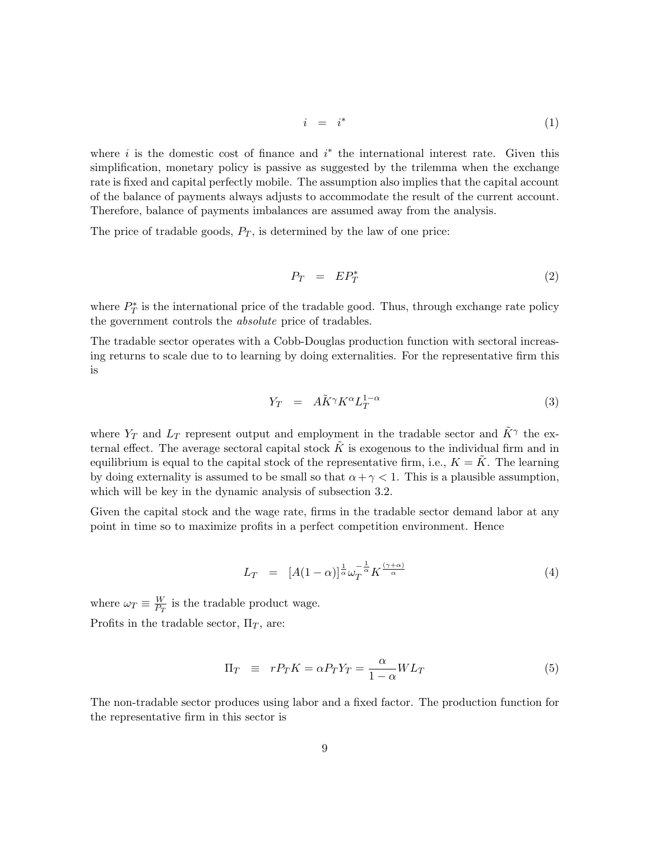$$
i = i^* \tag{1}
$$

where  $i$  is the domestic cost of finance and  $i^*$  the international interest rate. Given this simplification, monetary policy is passive as suggested by the trilemma when the exchange rate is fixed and capital perfectly mobile. The assumption also implies that the capital account of the balance of payments always adjusts to accommodate the result of the current account. Therefore, balance of payments imbalances are assumed away from the analysis.

The price of tradable goods,  $P_T$ , is determined by the law of one price:

$$
P_T = EP_T^* \tag{2}
$$

where  $P_T^*$  is the international price of the tradable good. Thus, through exchange rate policy the government controls the absolute price of tradables.

The tradable sector operates with a Cobb-Douglas production function with sectoral increasing returns to scale due to to learning by doing externalities. For the representative firm this is

$$
Y_T = A\tilde{K}^{\gamma} K^{\alpha} L_T^{1-\alpha} \tag{3}
$$

where  $Y_T$  and  $L_T$  represent output and employment in the tradable sector and  $\tilde{K}^{\gamma}$  the external effect. The average sectoral capital stock  $\tilde{K}$  is exogenous to the individual firm and in equilibrium is equal to the capital stock of the representative firm, i.e.,  $K = K$ . The learning by doing externality is assumed to be small so that  $\alpha + \gamma < 1$ . This is a plausible assumption, which will be key in the dynamic analysis of subsection 3.2.

Given the capital stock and the wage rate, firms in the tradable sector demand labor at any point in time so to maximize profits in a perfect competition environment. Hence

$$
L_T = [A(1-\alpha)]^{\frac{1}{\alpha}} \omega_T^{-\frac{1}{\alpha}} K^{\frac{(\gamma+\alpha)}{\alpha}} \tag{4}
$$

where  $\omega_T \equiv \frac{W}{P_T}$  $\frac{W}{P_T}$  is the tradable product wage. Profits in the tradable sector,  $\Pi_T$ , are:

$$
\Pi_T \equiv r P_T K = \alpha P_T Y_T = \frac{\alpha}{1 - \alpha} W L_T \tag{5}
$$

The non-tradable sector produces using labor and a fixed factor. The production function for the representative firm in this sector is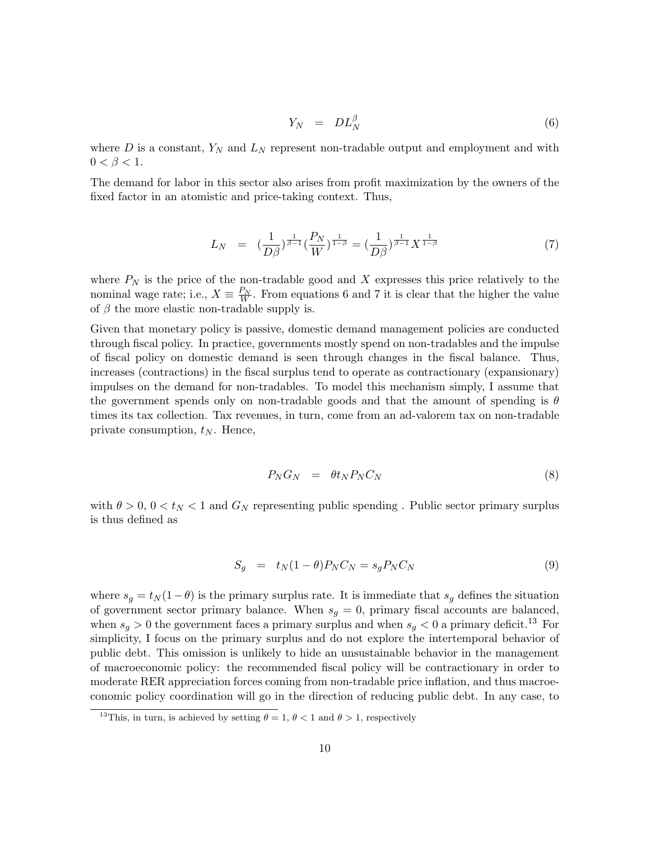$$
Y_N = DL_N^{\beta} \tag{6}
$$

where  $D$  is a constant,  $Y_N$  and  $L_N$  represent non-tradable output and employment and with  $0 < \beta < 1$ .

The demand for labor in this sector also arises from profit maximization by the owners of the fixed factor in an atomistic and price-taking context. Thus,

$$
L_N = (\frac{1}{D\beta})^{\frac{1}{\beta-1}} (\frac{P_N}{W})^{\frac{1}{1-\beta}} = (\frac{1}{D\beta})^{\frac{1}{\beta-1}} X^{\frac{1}{1-\beta}}
$$
(7)

where  $P_N$  is the price of the non-tradable good and X expresses this price relatively to the nominal wage rate; i.e.,  $X \equiv \frac{P_N}{W}$ . From equations 6 and 7 it is clear that the higher the value of  $\beta$  the more elastic non-tradable supply is.

Given that monetary policy is passive, domestic demand management policies are conducted through fiscal policy. In practice, governments mostly spend on non-tradables and the impulse of fiscal policy on domestic demand is seen through changes in the fiscal balance. Thus, increases (contractions) in the fiscal surplus tend to operate as contractionary (expansionary) impulses on the demand for non-tradables. To model this mechanism simply, I assume that the government spends only on non-tradable goods and that the amount of spending is  $\theta$ times its tax collection. Tax revenues, in turn, come from an ad-valorem tax on non-tradable private consumption,  $t_N$ . Hence,

$$
P_N G_N = \theta t_N P_N C_N \tag{8}
$$

with  $\theta > 0$ ,  $0 < t_N < 1$  and  $G_N$  representing public spending . Public sector primary surplus is thus defined as

$$
S_g = t_N(1 - \theta)P_N C_N = s_g P_N C_N \tag{9}
$$

where  $s_g = t_N (1-\theta)$  is the primary surplus rate. It is immediate that  $s_g$  defines the situation of government sector primary balance. When  $s_g = 0$ , primary fiscal accounts are balanced, when  $s_g > 0$  the government faces a primary surplus and when  $s_g < 0$  a primary deficit.<sup>13</sup> For simplicity, I focus on the primary surplus and do not explore the intertemporal behavior of public debt. This omission is unlikely to hide an unsustainable behavior in the management of macroeconomic policy: the recommended fiscal policy will be contractionary in order to moderate RER appreciation forces coming from non-tradable price inflation, and thus macroeconomic policy coordination will go in the direction of reducing public debt. In any case, to

<sup>&</sup>lt;sup>13</sup>This, in turn, is achieved by setting  $\theta = 1$ ,  $\theta < 1$  and  $\theta > 1$ , respectively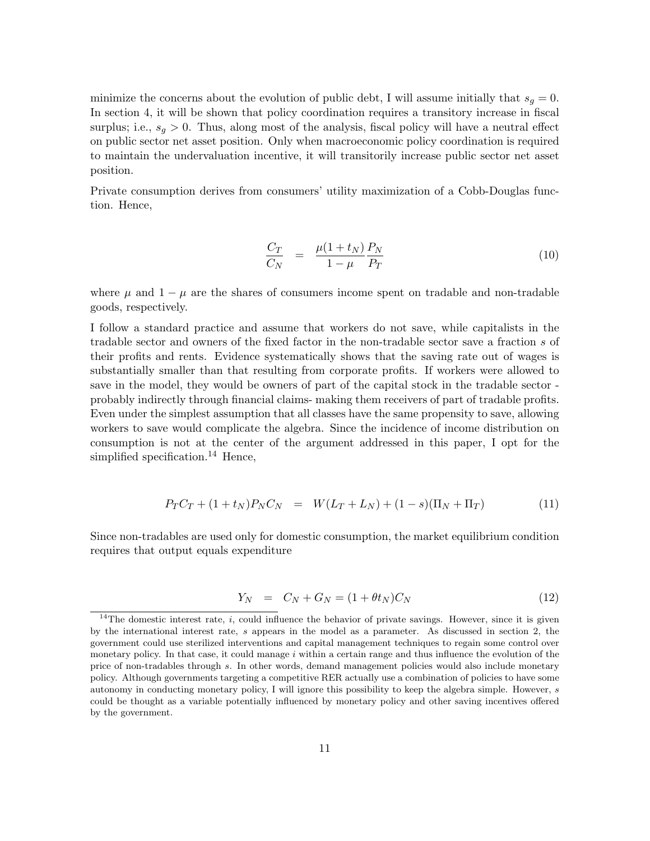minimize the concerns about the evolution of public debt, I will assume initially that  $s_q = 0$ . In section 4, it will be shown that policy coordination requires a transitory increase in fiscal surplus; i.e.,  $s_q > 0$ . Thus, along most of the analysis, fiscal policy will have a neutral effect on public sector net asset position. Only when macroeconomic policy coordination is required to maintain the undervaluation incentive, it will transitorily increase public sector net asset position.

Private consumption derives from consumers' utility maximization of a Cobb-Douglas function. Hence,

$$
\frac{C_T}{C_N} = \frac{\mu(1+t_N)}{1-\mu} \frac{P_N}{P_T} \tag{10}
$$

where  $\mu$  and  $1 - \mu$  are the shares of consumers income spent on tradable and non-tradable goods, respectively.

I follow a standard practice and assume that workers do not save, while capitalists in the tradable sector and owners of the fixed factor in the non-tradable sector save a fraction s of their profits and rents. Evidence systematically shows that the saving rate out of wages is substantially smaller than that resulting from corporate profits. If workers were allowed to save in the model, they would be owners of part of the capital stock in the tradable sector probably indirectly through financial claims- making them receivers of part of tradable profits. Even under the simplest assumption that all classes have the same propensity to save, allowing workers to save would complicate the algebra. Since the incidence of income distribution on consumption is not at the center of the argument addressed in this paper, I opt for the simplified specification.<sup>14</sup> Hence,

$$
P_T C_T + (1 + t_N) P_N C_N = W (L_T + L_N) + (1 - s) (\Pi_N + \Pi_T)
$$
\n(11)

Since non-tradables are used only for domestic consumption, the market equilibrium condition requires that output equals expenditure

$$
Y_N = C_N + G_N = (1 + \theta t_N)C_N \tag{12}
$$

<sup>&</sup>lt;sup>14</sup>The domestic interest rate, i, could influence the behavior of private savings. However, since it is given by the international interest rate, s appears in the model as a parameter. As discussed in section 2, the government could use sterilized interventions and capital management techniques to regain some control over monetary policy. In that case, it could manage  $i$  within a certain range and thus influence the evolution of the price of non-tradables through s. In other words, demand management policies would also include monetary policy. Although governments targeting a competitive RER actually use a combination of policies to have some autonomy in conducting monetary policy, I will ignore this possibility to keep the algebra simple. However, s could be thought as a variable potentially influenced by monetary policy and other saving incentives offered by the government.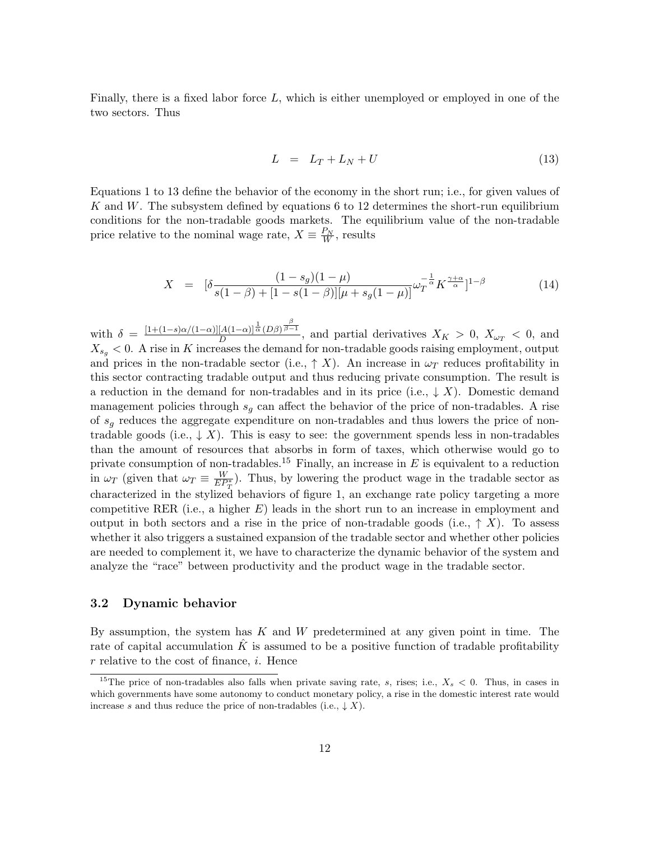Finally, there is a fixed labor force L, which is either unemployed or employed in one of the two sectors. Thus

$$
L = L_T + L_N + U \tag{13}
$$

Equations 1 to 13 define the behavior of the economy in the short run; i.e., for given values of K and W. The subsystem defined by equations 6 to 12 determines the short-run equilibrium conditions for the non-tradable goods markets. The equilibrium value of the non-tradable price relative to the nominal wage rate,  $X \equiv \frac{P_N}{W}$ , results

$$
X = \left[ \delta \frac{(1 - s_g)(1 - \mu)}{s(1 - \beta) + [1 - s(1 - \beta)][\mu + s_g(1 - \mu)]} \omega_T^{-\frac{1}{\alpha}} K^{\frac{\gamma + \alpha}{\alpha}} \right]^{1 - \beta} \tag{14}
$$

with  $\delta = \frac{[1+(1-s)\alpha/(1-\alpha)][A(1-\alpha)]^{\frac{1}{\alpha}}(D\beta)^{\frac{\beta}{\beta-1}}}{D}$  $\frac{A(1-\alpha)\alpha(D\beta)^{p-1}}{D}$ , and partial derivatives  $X_K > 0$ ,  $X_{\omega_T} < 0$ , and  $X_{s_q}$  < 0. A rise in K increases the demand for non-tradable goods raising employment, output and prices in the non-tradable sector (i.e.,  $\uparrow X$ ). An increase in  $\omega_T$  reduces profitability in this sector contracting tradable output and thus reducing private consumption. The result is a reduction in the demand for non-tradables and in its price (i.e.,  $\downarrow X$ ). Domestic demand management policies through  $s<sub>g</sub>$  can affect the behavior of the price of non-tradables. A rise of  $s_q$  reduces the aggregate expenditure on non-tradables and thus lowers the price of nontradable goods (i.e.,  $\downarrow X$ ). This is easy to see: the government spends less in non-tradables than the amount of resources that absorbs in form of taxes, which otherwise would go to private consumption of non-tradables.<sup>15</sup> Finally, an increase in  $E$  is equivalent to a reduction in  $\omega_T$  (given that  $\omega_T \equiv \frac{W}{E P_T^*}$ ). Thus, by lowering the product wage in the tradable sector as characterized in the stylized behaviors of figure 1, an exchange rate policy targeting a more competitive RER (i.e., a higher  $E$ ) leads in the short run to an increase in employment and output in both sectors and a rise in the price of non-tradable goods (i.e.,  $\uparrow X$ ). To assess whether it also triggers a sustained expansion of the tradable sector and whether other policies are needed to complement it, we have to characterize the dynamic behavior of the system and analyze the "race" between productivity and the product wage in the tradable sector.

#### 3.2 Dynamic behavior

By assumption, the system has  $K$  and  $W$  predetermined at any given point in time. The rate of capital accumulation  $K$  is assumed to be a positive function of tradable profitability  $r$  relative to the cost of finance,  $i$ . Hence

<sup>&</sup>lt;sup>15</sup>The price of non-tradables also falls when private saving rate, s, rises; i.e.,  $X_s < 0$ . Thus, in cases in which governments have some autonomy to conduct monetary policy, a rise in the domestic interest rate would increase s and thus reduce the price of non-tradables (i.e.,  $\downarrow$  X).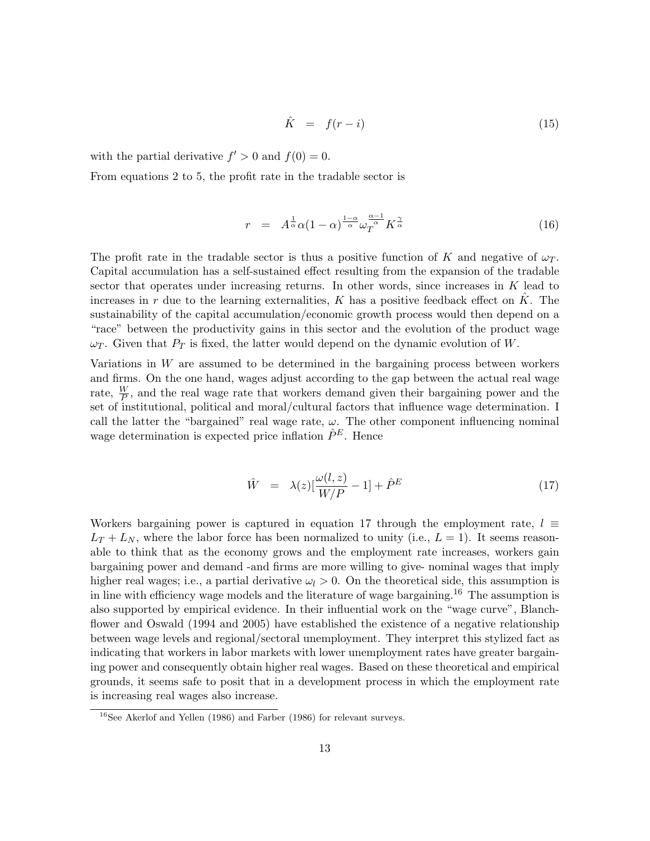$$
\hat{K} = f(r - i) \tag{15}
$$

with the partial derivative  $f' > 0$  and  $f(0) = 0$ .

From equations 2 to 5, the profit rate in the tradable sector is

$$
r = A^{\frac{1}{\alpha}} \alpha (1 - \alpha)^{\frac{1 - \alpha}{\alpha}} \omega_T^{\frac{\alpha - 1}{\alpha}} K^{\frac{\gamma}{\alpha}}
$$
(16)

The profit rate in the tradable sector is thus a positive function of K and negative of  $\omega_T$ . Capital accumulation has a self-sustained effect resulting from the expansion of the tradable sector that operates under increasing returns. In other words, since increases in K lead to increases in r due to the learning externalities,  $K$  has a positive feedback effect on  $K$ . The sustainability of the capital accumulation/economic growth process would then depend on a "race" between the productivity gains in this sector and the evolution of the product wage  $\omega_T$ . Given that  $P_T$  is fixed, the latter would depend on the dynamic evolution of W.

Variations in W are assumed to be determined in the bargaining process between workers and firms. On the one hand, wages adjust according to the gap between the actual real wage rate,  $\frac{W}{P}$ , and the real wage rate that workers demand given their bargaining power and the set of institutional, political and moral/cultural factors that influence wage determination. I call the latter the "bargained" real wage rate,  $\omega$ . The other component influencing nominal wage determination is expected price inflation  $\hat{P}^E$ . Hence

$$
\hat{W} = \lambda(z) \left[ \frac{\omega(l, z)}{W/P} - 1 \right] + \hat{P}^E \tag{17}
$$

Workers bargaining power is captured in equation 17 through the employment rate,  $l \equiv$  $L_T + L_N$ , where the labor force has been normalized to unity (i.e.,  $L = 1$ ). It seems reasonable to think that as the economy grows and the employment rate increases, workers gain bargaining power and demand -and firms are more willing to give- nominal wages that imply higher real wages; i.e., a partial derivative  $\omega_l > 0$ . On the theoretical side, this assumption is in line with efficiency wage models and the literature of wage bargaining.<sup>16</sup> The assumption is also supported by empirical evidence. In their influential work on the "wage curve", Blanchflower and Oswald (1994 and 2005) have established the existence of a negative relationship between wage levels and regional/sectoral unemployment. They interpret this stylized fact as indicating that workers in labor markets with lower unemployment rates have greater bargaining power and consequently obtain higher real wages. Based on these theoretical and empirical grounds, it seems safe to posit that in a development process in which the employment rate is increasing real wages also increase.

 $16$ See Akerlof and Yellen (1986) and Farber (1986) for relevant surveys.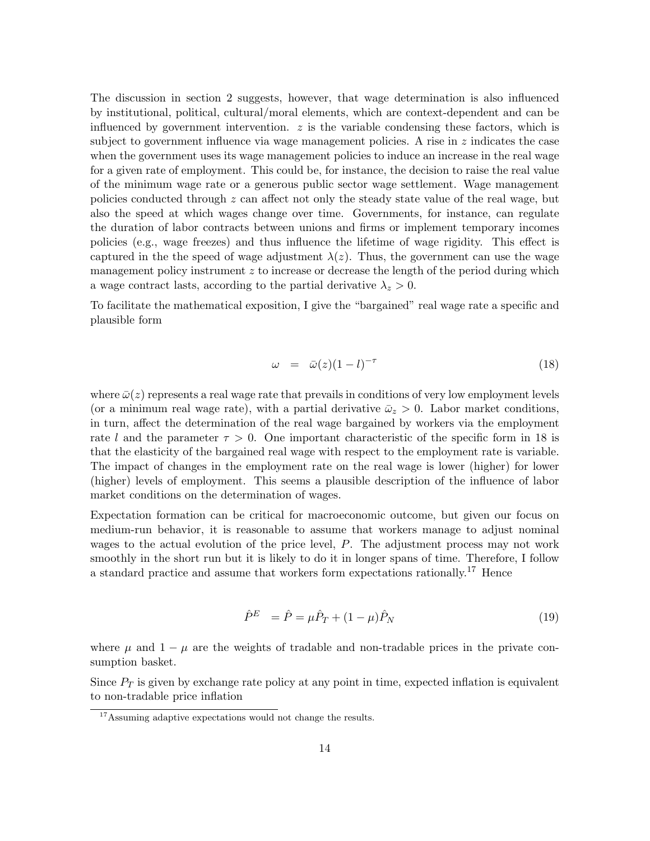The discussion in section 2 suggests, however, that wage determination is also influenced by institutional, political, cultural/moral elements, which are context-dependent and can be influenced by government intervention.  $z$  is the variable condensing these factors, which is subject to government influence via wage management policies. A rise in  $z$  indicates the case when the government uses its wage management policies to induce an increase in the real wage for a given rate of employment. This could be, for instance, the decision to raise the real value of the minimum wage rate or a generous public sector wage settlement. Wage management policies conducted through  $z$  can affect not only the steady state value of the real wage, but also the speed at which wages change over time. Governments, for instance, can regulate the duration of labor contracts between unions and firms or implement temporary incomes policies (e.g., wage freezes) and thus influence the lifetime of wage rigidity. This effect is captured in the the speed of wage adjustment  $\lambda(z)$ . Thus, the government can use the wage management policy instrument z to increase or decrease the length of the period during which a wage contract lasts, according to the partial derivative  $\lambda_z > 0$ .

To facilitate the mathematical exposition, I give the "bargained" real wage rate a specific and plausible form

$$
\omega = \bar{\omega}(z)(1 - l)^{-\tau} \tag{18}
$$

where  $\bar{\omega}(z)$  represents a real wage rate that prevails in conditions of very low employment levels (or a minimum real wage rate), with a partial derivative  $\bar{\omega}_z > 0$ . Labor market conditions, in turn, affect the determination of the real wage bargained by workers via the employment rate l and the parameter  $\tau > 0$ . One important characteristic of the specific form in 18 is that the elasticity of the bargained real wage with respect to the employment rate is variable. The impact of changes in the employment rate on the real wage is lower (higher) for lower (higher) levels of employment. This seems a plausible description of the influence of labor market conditions on the determination of wages.

Expectation formation can be critical for macroeconomic outcome, but given our focus on medium-run behavior, it is reasonable to assume that workers manage to adjust nominal wages to the actual evolution of the price level, P. The adjustment process may not work smoothly in the short run but it is likely to do it in longer spans of time. Therefore, I follow a standard practice and assume that workers form expectations rationally.<sup>17</sup> Hence

$$
\hat{P}^{E} = \hat{P} = \mu \hat{P}_{T} + (1 - \mu) \hat{P}_{N}
$$
\n(19)

where  $\mu$  and  $1 - \mu$  are the weights of tradable and non-tradable prices in the private consumption basket.

Since  $P_T$  is given by exchange rate policy at any point in time, expected inflation is equivalent to non-tradable price inflation

<sup>&</sup>lt;sup>17</sup>Assuming adaptive expectations would not change the results.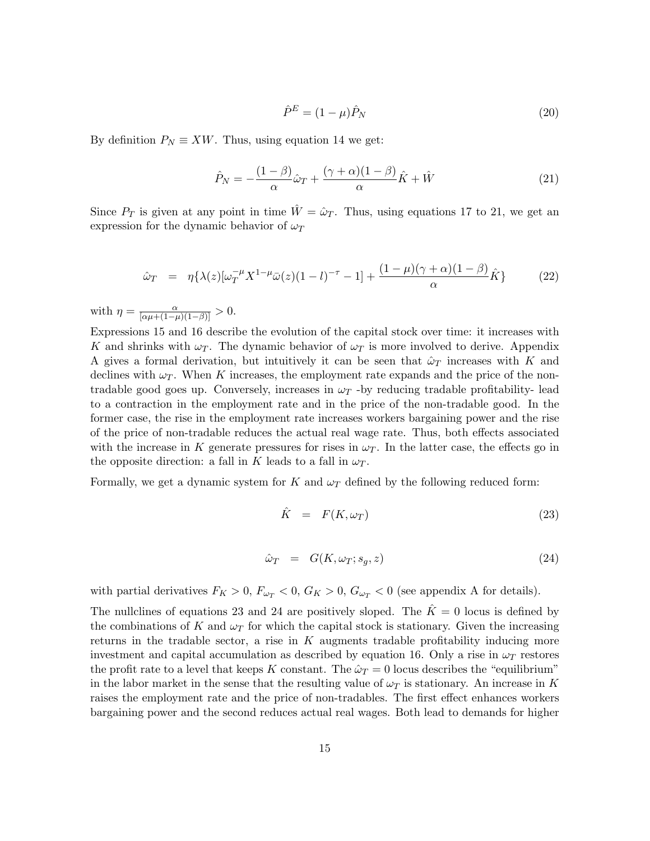$$
\hat{P}^E = (1 - \mu)\hat{P}_N\tag{20}
$$

By definition  $P_N \equiv XW$ . Thus, using equation 14 we get:

$$
\hat{P}_N = -\frac{(1-\beta)}{\alpha}\hat{\omega}_T + \frac{(\gamma+\alpha)(1-\beta)}{\alpha}\hat{K} + \hat{W}
$$
\n(21)

Since  $P_T$  is given at any point in time  $\hat{W} = \hat{\omega}_T$ . Thus, using equations 17 to 21, we get an expression for the dynamic behavior of  $\omega_T$ 

$$
\hat{\omega}_T = \eta \{ \lambda(z) [\omega_T^{-\mu} X^{1-\mu} \bar{\omega}(z) (1-l)^{-\tau} - 1] + \frac{(1-\mu)(\gamma + \alpha)(1-\beta)}{\alpha} \hat{K} \}
$$
(22)

with  $\eta = \frac{\alpha}{[\alpha\mu + (1-\mu)(1-\beta)]} > 0.$ 

Expressions 15 and 16 describe the evolution of the capital stock over time: it increases with K and shrinks with  $\omega_T$ . The dynamic behavior of  $\omega_T$  is more involved to derive. Appendix A gives a formal derivation, but intuitively it can be seen that  $\hat{\omega}_T$  increases with K and declines with  $\omega_T$ . When K increases, the employment rate expands and the price of the nontradable good goes up. Conversely, increases in  $\omega_T$  -by reducing tradable profitability- lead to a contraction in the employment rate and in the price of the non-tradable good. In the former case, the rise in the employment rate increases workers bargaining power and the rise of the price of non-tradable reduces the actual real wage rate. Thus, both effects associated with the increase in K generate pressures for rises in  $\omega_T$ . In the latter case, the effects go in the opposite direction: a fall in K leads to a fall in  $\omega_T$ .

Formally, we get a dynamic system for K and  $\omega_T$  defined by the following reduced form:

$$
\hat{K} = F(K, \omega_T) \tag{23}
$$

$$
\hat{\omega}_T = G(K, \omega_T; s_g, z) \tag{24}
$$

with partial derivatives  $F_K > 0$ ,  $F_{\omega_T} < 0$ ,  $G_K > 0$ ,  $G_{\omega_T} < 0$  (see appendix A for details).

The nullclines of equations 23 and 24 are positively sloped. The  $\hat{K} = 0$  locus is defined by the combinations of K and  $\omega_T$  for which the capital stock is stationary. Given the increasing returns in the tradable sector, a rise in  $K$  augments tradable profitability inducing more investment and capital accumulation as described by equation 16. Only a rise in  $\omega_T$  restores the profit rate to a level that keeps K constant. The  $\hat{\omega}_T = 0$  locus describes the "equilibrium" in the labor market in the sense that the resulting value of  $\omega_T$  is stationary. An increase in K raises the employment rate and the price of non-tradables. The first effect enhances workers bargaining power and the second reduces actual real wages. Both lead to demands for higher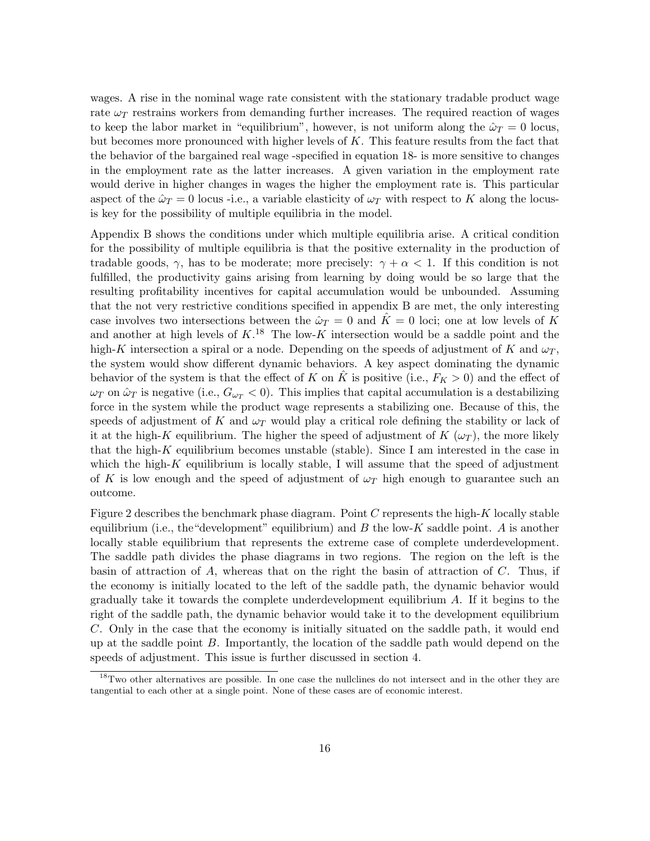wages. A rise in the nominal wage rate consistent with the stationary tradable product wage rate  $\omega_T$  restrains workers from demanding further increases. The required reaction of wages to keep the labor market in "equilibrium", however, is not uniform along the  $\hat{\omega}_T = 0$  locus, but becomes more pronounced with higher levels of  $K$ . This feature results from the fact that the behavior of the bargained real wage -specified in equation 18- is more sensitive to changes in the employment rate as the latter increases. A given variation in the employment rate would derive in higher changes in wages the higher the employment rate is. This particular aspect of the  $\hat{\omega}_T = 0$  locus-i.e., a variable elasticity of  $\omega_T$  with respect to K along the locusis key for the possibility of multiple equilibria in the model.

Appendix B shows the conditions under which multiple equilibria arise. A critical condition for the possibility of multiple equilibria is that the positive externality in the production of tradable goods,  $\gamma$ , has to be moderate; more precisely:  $\gamma + \alpha < 1$ . If this condition is not fulfilled, the productivity gains arising from learning by doing would be so large that the resulting profitability incentives for capital accumulation would be unbounded. Assuming that the not very restrictive conditions specified in appendix B are met, the only interesting case involves two intersections between the  $\hat{\omega}_T = 0$  and  $\hat{K} = 0$  loci; one at low levels of K and another at high levels of  $K^{18}$ . The low-K intersection would be a saddle point and the high-K intersection a spiral or a node. Depending on the speeds of adjustment of K and  $\omega_T$ , the system would show different dynamic behaviors. A key aspect dominating the dynamic behavior of the system is that the effect of K on K is positive (i.e.,  $F_K > 0$ ) and the effect of  $\omega_T$  on  $\hat{\omega}_T$  is negative (i.e.,  $G_{\omega_T} < 0$ ). This implies that capital accumulation is a destabilizing force in the system while the product wage represents a stabilizing one. Because of this, the speeds of adjustment of K and  $\omega_T$  would play a critical role defining the stability or lack of it at the high-K equilibrium. The higher the speed of adjustment of  $K(\omega_T)$ , the more likely that the high- $K$  equilibrium becomes unstable (stable). Since I am interested in the case in which the high- $K$  equilibrium is locally stable, I will assume that the speed of adjustment of K is low enough and the speed of adjustment of  $\omega_T$  high enough to guarantee such an outcome.

Figure 2 describes the benchmark phase diagram. Point C represents the high-K locally stable equilibrium (i.e., the "development" equilibrium) and  $B$  the low-K saddle point. A is another locally stable equilibrium that represents the extreme case of complete underdevelopment. The saddle path divides the phase diagrams in two regions. The region on the left is the basin of attraction of  $A$ , whereas that on the right the basin of attraction of  $C$ . Thus, if the economy is initially located to the left of the saddle path, the dynamic behavior would gradually take it towards the complete underdevelopment equilibrium A. If it begins to the right of the saddle path, the dynamic behavior would take it to the development equilibrium C. Only in the case that the economy is initially situated on the saddle path, it would end up at the saddle point B. Importantly, the location of the saddle path would depend on the speeds of adjustment. This issue is further discussed in section 4.

<sup>&</sup>lt;sup>18</sup>Two other alternatives are possible. In one case the nullclines do not intersect and in the other they are tangential to each other at a single point. None of these cases are of economic interest.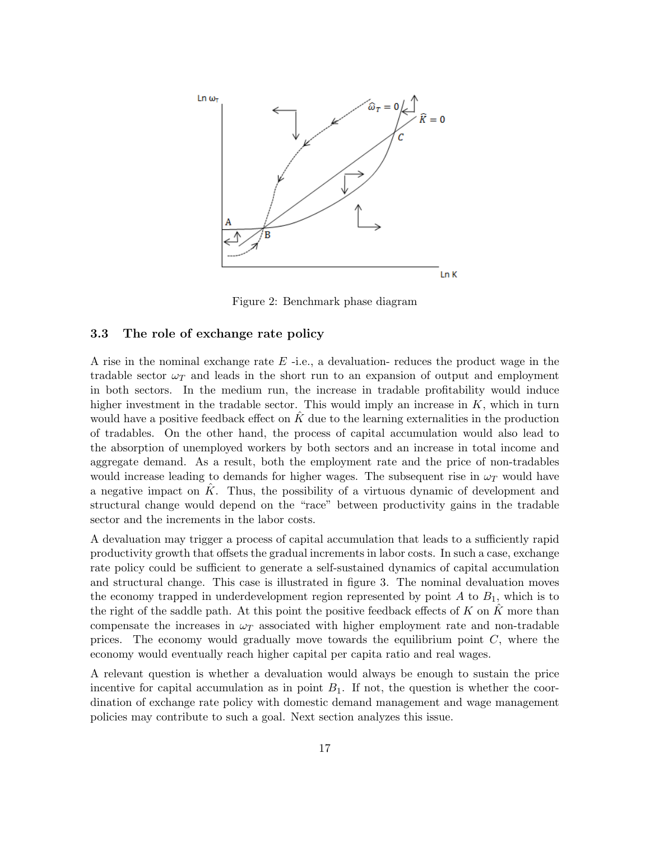

Figure 2: Benchmark phase diagram

#### 3.3 The role of exchange rate policy

A rise in the nominal exchange rate  $E$  -i.e., a devaluation- reduces the product wage in the tradable sector  $\omega_T$  and leads in the short run to an expansion of output and employment in both sectors. In the medium run, the increase in tradable profitability would induce higher investment in the tradable sector. This would imply an increase in  $K$ , which in turn would have a positive feedback effect on  $K$  due to the learning externalities in the production of tradables. On the other hand, the process of capital accumulation would also lead to the absorption of unemployed workers by both sectors and an increase in total income and aggregate demand. As a result, both the employment rate and the price of non-tradables would increase leading to demands for higher wages. The subsequent rise in  $\omega_T$  would have a negative impact on  $\hat{K}$ . Thus, the possibility of a virtuous dynamic of development and structural change would depend on the "race" between productivity gains in the tradable sector and the increments in the labor costs.

A devaluation may trigger a process of capital accumulation that leads to a sufficiently rapid productivity growth that offsets the gradual increments in labor costs. In such a case, exchange rate policy could be sufficient to generate a self-sustained dynamics of capital accumulation and structural change. This case is illustrated in figure 3. The nominal devaluation moves the economy trapped in underdevelopment region represented by point  $A$  to  $B_1$ , which is to the right of the saddle path. At this point the positive feedback effects of  $K$  on  $K$  more than compensate the increases in  $\omega_T$  associated with higher employment rate and non-tradable prices. The economy would gradually move towards the equilibrium point  $C$ , where the economy would eventually reach higher capital per capita ratio and real wages.

A relevant question is whether a devaluation would always be enough to sustain the price incentive for capital accumulation as in point  $B_1$ . If not, the question is whether the coordination of exchange rate policy with domestic demand management and wage management policies may contribute to such a goal. Next section analyzes this issue.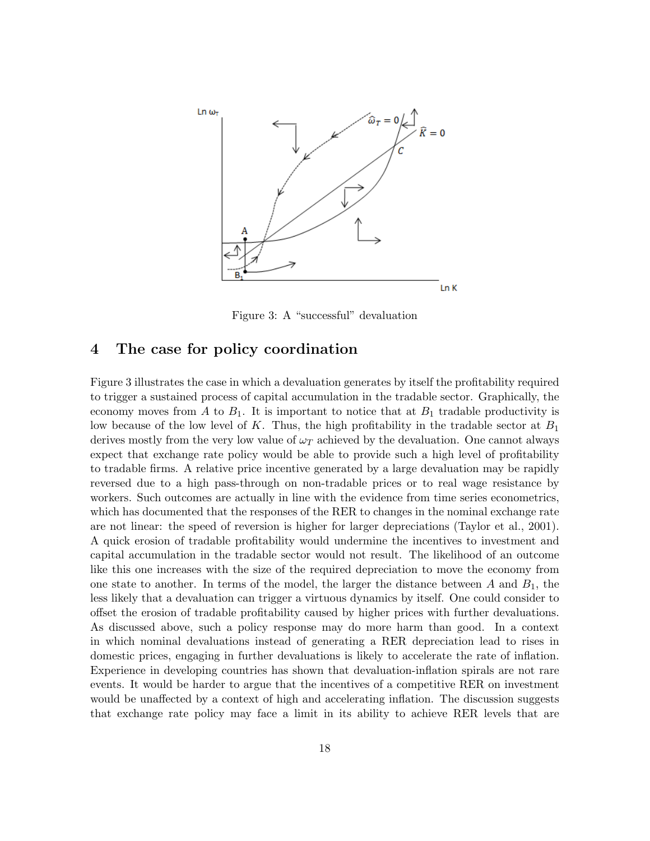

Figure 3: A "successful" devaluation

#### 4 The case for policy coordination

Figure 3 illustrates the case in which a devaluation generates by itself the profitability required to trigger a sustained process of capital accumulation in the tradable sector. Graphically, the economy moves from A to  $B_1$ . It is important to notice that at  $B_1$  tradable productivity is low because of the low level of K. Thus, the high profitability in the tradable sector at  $B_1$ derives mostly from the very low value of  $\omega_T$  achieved by the devaluation. One cannot always expect that exchange rate policy would be able to provide such a high level of profitability to tradable firms. A relative price incentive generated by a large devaluation may be rapidly reversed due to a high pass-through on non-tradable prices or to real wage resistance by workers. Such outcomes are actually in line with the evidence from time series econometrics, which has documented that the responses of the RER to changes in the nominal exchange rate are not linear: the speed of reversion is higher for larger depreciations (Taylor et al., 2001). A quick erosion of tradable profitability would undermine the incentives to investment and capital accumulation in the tradable sector would not result. The likelihood of an outcome like this one increases with the size of the required depreciation to move the economy from one state to another. In terms of the model, the larger the distance between A and  $B_1$ , the less likely that a devaluation can trigger a virtuous dynamics by itself. One could consider to offset the erosion of tradable profitability caused by higher prices with further devaluations. As discussed above, such a policy response may do more harm than good. In a context in which nominal devaluations instead of generating a RER depreciation lead to rises in domestic prices, engaging in further devaluations is likely to accelerate the rate of inflation. Experience in developing countries has shown that devaluation-inflation spirals are not rare events. It would be harder to argue that the incentives of a competitive RER on investment would be unaffected by a context of high and accelerating inflation. The discussion suggests that exchange rate policy may face a limit in its ability to achieve RER levels that are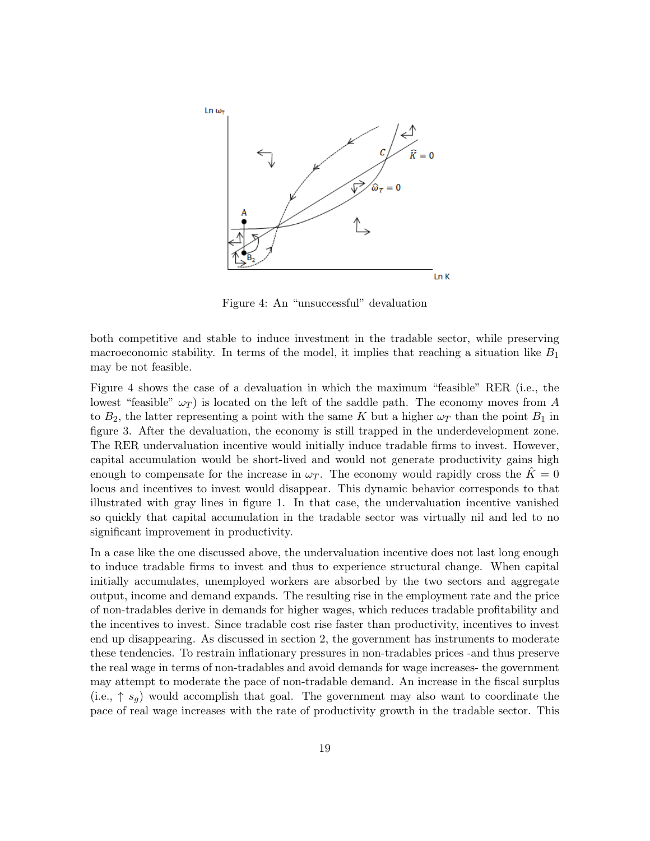

Figure 4: An "unsuccessful" devaluation

both competitive and stable to induce investment in the tradable sector, while preserving macroeconomic stability. In terms of the model, it implies that reaching a situation like  $B_1$ may be not feasible.

Figure 4 shows the case of a devaluation in which the maximum "feasible" RER (i.e., the lowest "feasible"  $\omega_T$ ) is located on the left of the saddle path. The economy moves from A to  $B_2$ , the latter representing a point with the same K but a higher  $\omega_T$  than the point  $B_1$  in figure 3. After the devaluation, the economy is still trapped in the underdevelopment zone. The RER undervaluation incentive would initially induce tradable firms to invest. However, capital accumulation would be short-lived and would not generate productivity gains high enough to compensate for the increase in  $\omega_T$ . The economy would rapidly cross the  $\tilde{K} = 0$ locus and incentives to invest would disappear. This dynamic behavior corresponds to that illustrated with gray lines in figure 1. In that case, the undervaluation incentive vanished so quickly that capital accumulation in the tradable sector was virtually nil and led to no significant improvement in productivity.

In a case like the one discussed above, the undervaluation incentive does not last long enough to induce tradable firms to invest and thus to experience structural change. When capital initially accumulates, unemployed workers are absorbed by the two sectors and aggregate output, income and demand expands. The resulting rise in the employment rate and the price of non-tradables derive in demands for higher wages, which reduces tradable profitability and the incentives to invest. Since tradable cost rise faster than productivity, incentives to invest end up disappearing. As discussed in section 2, the government has instruments to moderate these tendencies. To restrain inflationary pressures in non-tradables prices -and thus preserve the real wage in terms of non-tradables and avoid demands for wage increases- the government may attempt to moderate the pace of non-tradable demand. An increase in the fiscal surplus (i.e.,  $\uparrow s_q$ ) would accomplish that goal. The government may also want to coordinate the pace of real wage increases with the rate of productivity growth in the tradable sector. This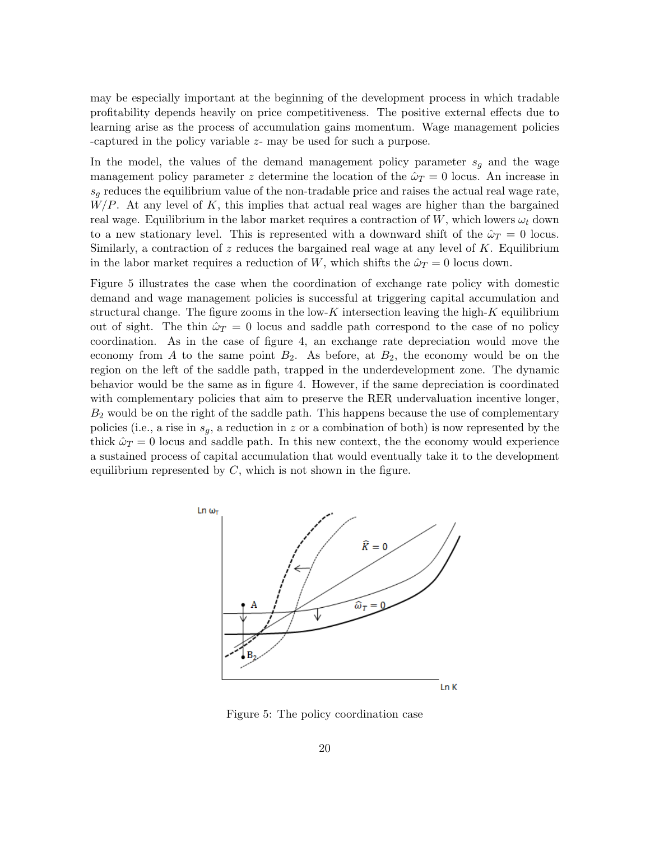may be especially important at the beginning of the development process in which tradable profitability depends heavily on price competitiveness. The positive external effects due to learning arise as the process of accumulation gains momentum. Wage management policies -captured in the policy variable z- may be used for such a purpose.

In the model, the values of the demand management policy parameter  $s<sub>g</sub>$  and the wage management policy parameter z determine the location of the  $\hat{\omega}_T = 0$  locus. An increase in  $s_q$  reduces the equilibrium value of the non-tradable price and raises the actual real wage rate,  $W/P$ . At any level of K, this implies that actual real wages are higher than the bargained real wage. Equilibrium in the labor market requires a contraction of W, which lowers  $\omega_t$  down to a new stationary level. This is represented with a downward shift of the  $\hat{\omega}_T = 0$  locus. Similarly, a contraction of z reduces the bargained real wage at any level of K. Equilibrium in the labor market requires a reduction of W, which shifts the  $\hat{\omega}_T = 0$  locus down.

Figure 5 illustrates the case when the coordination of exchange rate policy with domestic demand and wage management policies is successful at triggering capital accumulation and structural change. The figure zooms in the low-K intersection leaving the high-K equilibrium out of sight. The thin  $\hat{\omega}_T = 0$  locus and saddle path correspond to the case of no policy coordination. As in the case of figure 4, an exchange rate depreciation would move the economy from A to the same point  $B_2$ . As before, at  $B_2$ , the economy would be on the region on the left of the saddle path, trapped in the underdevelopment zone. The dynamic behavior would be the same as in figure 4. However, if the same depreciation is coordinated with complementary policies that aim to preserve the RER undervaluation incentive longer,  $B_2$  would be on the right of the saddle path. This happens because the use of complementary policies (i.e., a rise in  $s_g$ , a reduction in z or a combination of both) is now represented by the thick  $\hat{\omega}_T = 0$  locus and saddle path. In this new context, the the economy would experience a sustained process of capital accumulation that would eventually take it to the development equilibrium represented by  $C$ , which is not shown in the figure.



Figure 5: The policy coordination case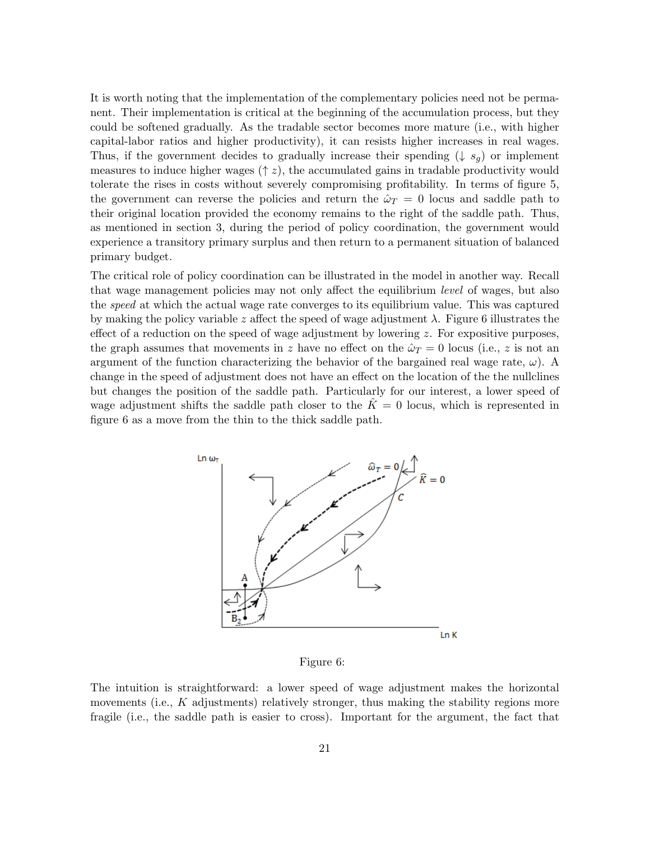It is worth noting that the implementation of the complementary policies need not be permanent. Their implementation is critical at the beginning of the accumulation process, but they could be softened gradually. As the tradable sector becomes more mature (i.e., with higher capital-labor ratios and higher productivity), it can resists higher increases in real wages. Thus, if the government decides to gradually increase their spending ( $\downarrow s_q$ ) or implement measures to induce higher wages  $(\uparrow z)$ , the accumulated gains in tradable productivity would tolerate the rises in costs without severely compromising profitability. In terms of figure 5, the government can reverse the policies and return the  $\hat{\omega}_T = 0$  locus and saddle path to their original location provided the economy remains to the right of the saddle path. Thus, as mentioned in section 3, during the period of policy coordination, the government would experience a transitory primary surplus and then return to a permanent situation of balanced primary budget.

The critical role of policy coordination can be illustrated in the model in another way. Recall that wage management policies may not only affect the equilibrium level of wages, but also the speed at which the actual wage rate converges to its equilibrium value. This was captured by making the policy variable z affect the speed of wage adjustment  $\lambda$ . Figure 6 illustrates the effect of a reduction on the speed of wage adjustment by lowering  $z$ . For expositive purposes, the graph assumes that movements in z have no effect on the  $\hat{\omega}_T = 0$  locus (i.e., z is not an argument of the function characterizing the behavior of the bargained real wage rate,  $\omega$ ). A change in the speed of adjustment does not have an effect on the location of the the nullclines but changes the position of the saddle path. Particularly for our interest, a lower speed of wage adjustment shifts the saddle path closer to the  $K=0$  locus, which is represented in figure 6 as a move from the thin to the thick saddle path.



Figure 6:

The intuition is straightforward: a lower speed of wage adjustment makes the horizontal movements (i.e.,  $K$  adjustments) relatively stronger, thus making the stability regions more fragile (i.e., the saddle path is easier to cross). Important for the argument, the fact that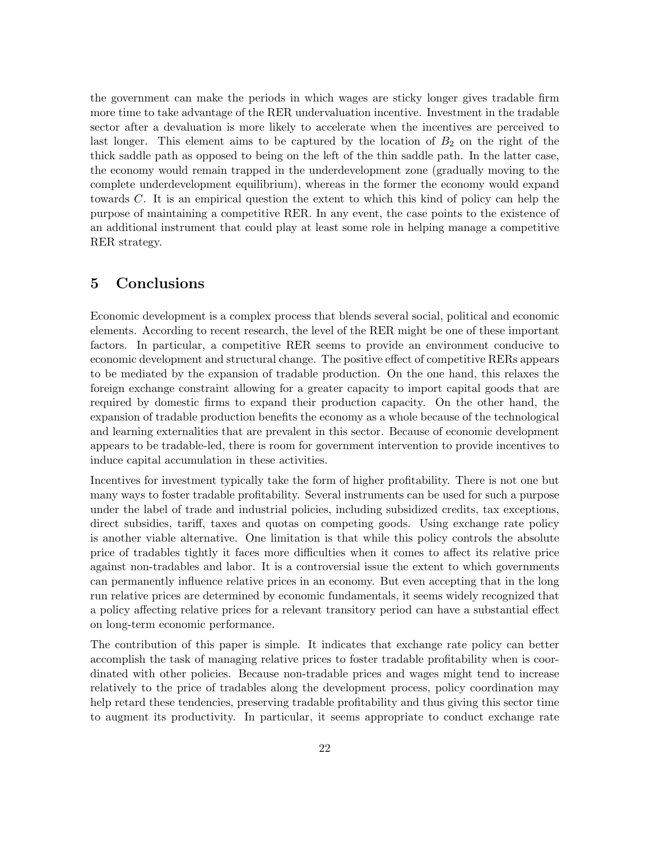the government can make the periods in which wages are sticky longer gives tradable firm more time to take advantage of the RER undervaluation incentive. Investment in the tradable sector after a devaluation is more likely to accelerate when the incentives are perceived to last longer. This element aims to be captured by the location of  $B_2$  on the right of the thick saddle path as opposed to being on the left of the thin saddle path. In the latter case, the economy would remain trapped in the underdevelopment zone (gradually moving to the complete underdevelopment equilibrium), whereas in the former the economy would expand towards C. It is an empirical question the extent to which this kind of policy can help the purpose of maintaining a competitive RER. In any event, the case points to the existence of an additional instrument that could play at least some role in helping manage a competitive RER strategy.

#### 5 Conclusions

Economic development is a complex process that blends several social, political and economic elements. According to recent research, the level of the RER might be one of these important factors. In particular, a competitive RER seems to provide an environment conducive to economic development and structural change. The positive effect of competitive RERs appears to be mediated by the expansion of tradable production. On the one hand, this relaxes the foreign exchange constraint allowing for a greater capacity to import capital goods that are required by domestic firms to expand their production capacity. On the other hand, the expansion of tradable production benefits the economy as a whole because of the technological and learning externalities that are prevalent in this sector. Because of economic development appears to be tradable-led, there is room for government intervention to provide incentives to induce capital accumulation in these activities.

Incentives for investment typically take the form of higher profitability. There is not one but many ways to foster tradable profitability. Several instruments can be used for such a purpose under the label of trade and industrial policies, including subsidized credits, tax exceptions, direct subsidies, tariff, taxes and quotas on competing goods. Using exchange rate policy is another viable alternative. One limitation is that while this policy controls the absolute price of tradables tightly it faces more difficulties when it comes to affect its relative price against non-tradables and labor. It is a controversial issue the extent to which governments can permanently influence relative prices in an economy. But even accepting that in the long run relative prices are determined by economic fundamentals, it seems widely recognized that a policy affecting relative prices for a relevant transitory period can have a substantial effect on long-term economic performance.

The contribution of this paper is simple. It indicates that exchange rate policy can better accomplish the task of managing relative prices to foster tradable profitability when is coordinated with other policies. Because non-tradable prices and wages might tend to increase relatively to the price of tradables along the development process, policy coordination may help retard these tendencies, preserving tradable profitability and thus giving this sector time to augment its productivity. In particular, it seems appropriate to conduct exchange rate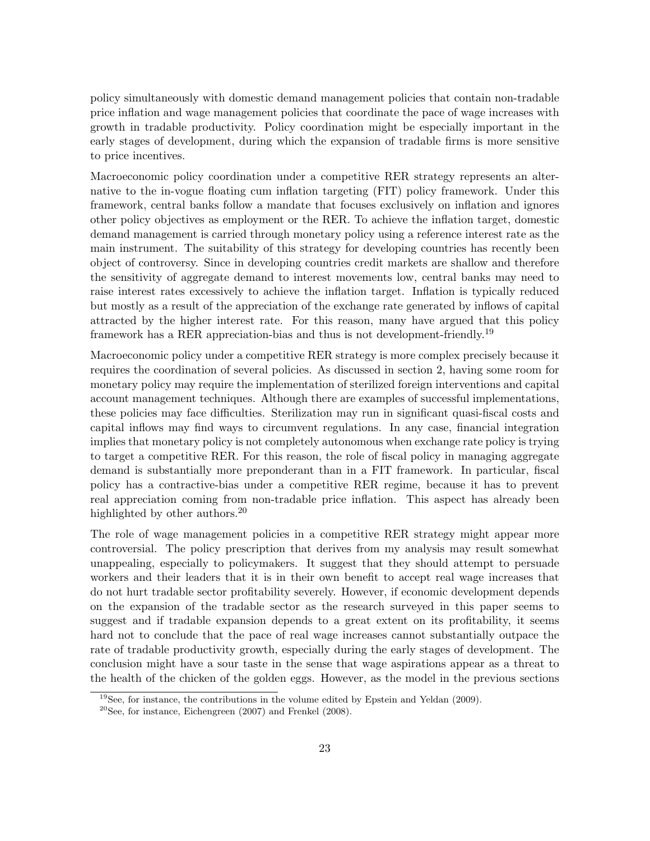policy simultaneously with domestic demand management policies that contain non-tradable price inflation and wage management policies that coordinate the pace of wage increases with growth in tradable productivity. Policy coordination might be especially important in the early stages of development, during which the expansion of tradable firms is more sensitive to price incentives.

Macroeconomic policy coordination under a competitive RER strategy represents an alternative to the in-vogue floating cum inflation targeting (FIT) policy framework. Under this framework, central banks follow a mandate that focuses exclusively on inflation and ignores other policy objectives as employment or the RER. To achieve the inflation target, domestic demand management is carried through monetary policy using a reference interest rate as the main instrument. The suitability of this strategy for developing countries has recently been object of controversy. Since in developing countries credit markets are shallow and therefore the sensitivity of aggregate demand to interest movements low, central banks may need to raise interest rates excessively to achieve the inflation target. Inflation is typically reduced but mostly as a result of the appreciation of the exchange rate generated by inflows of capital attracted by the higher interest rate. For this reason, many have argued that this policy framework has a RER appreciation-bias and thus is not development-friendly.<sup>19</sup>

Macroeconomic policy under a competitive RER strategy is more complex precisely because it requires the coordination of several policies. As discussed in section 2, having some room for monetary policy may require the implementation of sterilized foreign interventions and capital account management techniques. Although there are examples of successful implementations, these policies may face difficulties. Sterilization may run in significant quasi-fiscal costs and capital inflows may find ways to circumvent regulations. In any case, financial integration implies that monetary policy is not completely autonomous when exchange rate policy is trying to target a competitive RER. For this reason, the role of fiscal policy in managing aggregate demand is substantially more preponderant than in a FIT framework. In particular, fiscal policy has a contractive-bias under a competitive RER regime, because it has to prevent real appreciation coming from non-tradable price inflation. This aspect has already been highlighted by other authors.<sup>20</sup>

The role of wage management policies in a competitive RER strategy might appear more controversial. The policy prescription that derives from my analysis may result somewhat unappealing, especially to policymakers. It suggest that they should attempt to persuade workers and their leaders that it is in their own benefit to accept real wage increases that do not hurt tradable sector profitability severely. However, if economic development depends on the expansion of the tradable sector as the research surveyed in this paper seems to suggest and if tradable expansion depends to a great extent on its profitability, it seems hard not to conclude that the pace of real wage increases cannot substantially outpace the rate of tradable productivity growth, especially during the early stages of development. The conclusion might have a sour taste in the sense that wage aspirations appear as a threat to the health of the chicken of the golden eggs. However, as the model in the previous sections

 $19$ See, for instance, the contributions in the volume edited by Epstein and Yeldan (2009).

 $20$ See, for instance, Eichengreen (2007) and Frenkel (2008).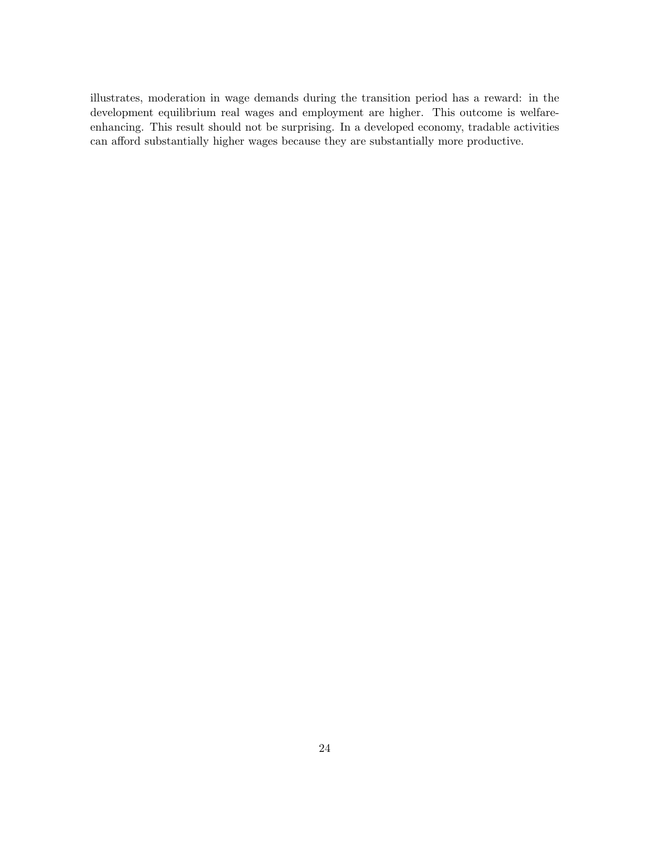illustrates, moderation in wage demands during the transition period has a reward: in the development equilibrium real wages and employment are higher. This outcome is welfareenhancing. This result should not be surprising. In a developed economy, tradable activities can afford substantially higher wages because they are substantially more productive.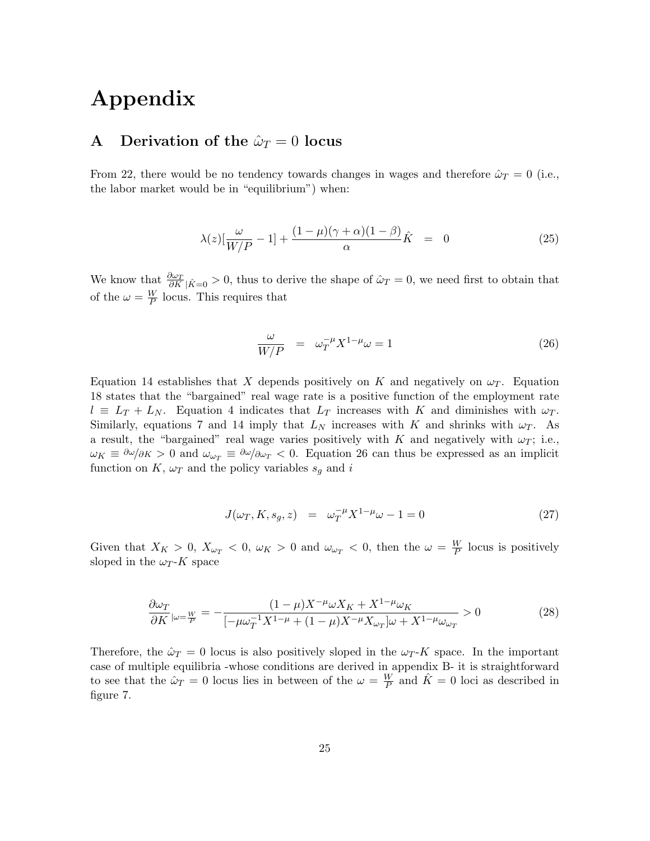## Appendix

#### A Derivation of the  $\hat{\omega}_T = 0$  locus

From 22, there would be no tendency towards changes in wages and therefore  $\hat{\omega}_T = 0$  (i.e., the labor market would be in "equilibrium") when:

$$
\lambda(z)[\frac{\omega}{W/P} - 1] + \frac{(1 - \mu)(\gamma + \alpha)(1 - \beta)}{\alpha}\hat{K} = 0 \tag{25}
$$

We know that  $\frac{\partial \omega_T}{\partial K}$   $|\hat{K}=0$ , thus to derive the shape of  $\hat{\omega}_T=0$ , we need first to obtain that of the  $\omega = \frac{W}{P}$  $\frac{W}{P}$  locus. This requires that

$$
\frac{\omega}{W/P} = \omega_T^{-\mu} X^{1-\mu} \omega = 1 \tag{26}
$$

Equation 14 establishes that X depends positively on K and negatively on  $\omega_T$ . Equation 18 states that the "bargained" real wage rate is a positive function of the employment rate  $l \equiv L_T + L_N$ . Equation 4 indicates that  $L_T$  increases with K and diminishes with  $\omega_T$ . Similarly, equations 7 and 14 imply that  $L_N$  increases with K and shrinks with  $\omega_T$ . As a result, the "bargained" real wage varies positively with K and negatively with  $\omega_T$ ; i.e.,  $\omega_K \equiv \partial \omega / \partial K > 0$  and  $\omega_{\omega_T} \equiv \partial \omega / \partial \omega_T < 0$ . Equation 26 can thus be expressed as an implicit function on K,  $\omega_T$  and the policy variables  $s_g$  and i

$$
J(\omega_T, K, s_g, z) = \omega_T^{-\mu} X^{1-\mu} \omega - 1 = 0 \tag{27}
$$

Given that  $X_K > 0$ ,  $X_{\omega_T} < 0$ ,  $\omega_K > 0$  and  $\omega_{\omega_T} < 0$ , then the  $\omega = \frac{W}{P}$  $\frac{W}{P}$  locus is positively sloped in the  $\omega_T$ -K space

$$
\frac{\partial \omega_T}{\partial K}|_{\omega = \frac{W}{P}} = -\frac{(1-\mu)X^{-\mu} \omega X_K + X^{1-\mu} \omega_K}{[-\mu \omega_T^{-1} X^{1-\mu} + (1-\mu)X^{-\mu} X_{\omega_T}] \omega + X^{1-\mu} \omega_{\omega_T}} > 0
$$
\n(28)

Therefore, the  $\hat{\omega}_T = 0$  locus is also positively sloped in the  $\omega_T$ -K space. In the important case of multiple equilibria -whose conditions are derived in appendix B- it is straightforward to see that the  $\hat{\omega}_T = 0$  locus lies in between of the  $\omega = \frac{W}{P}$  $\frac{W}{P}$  and  $\hat{K} = 0$  loci as described in figure 7.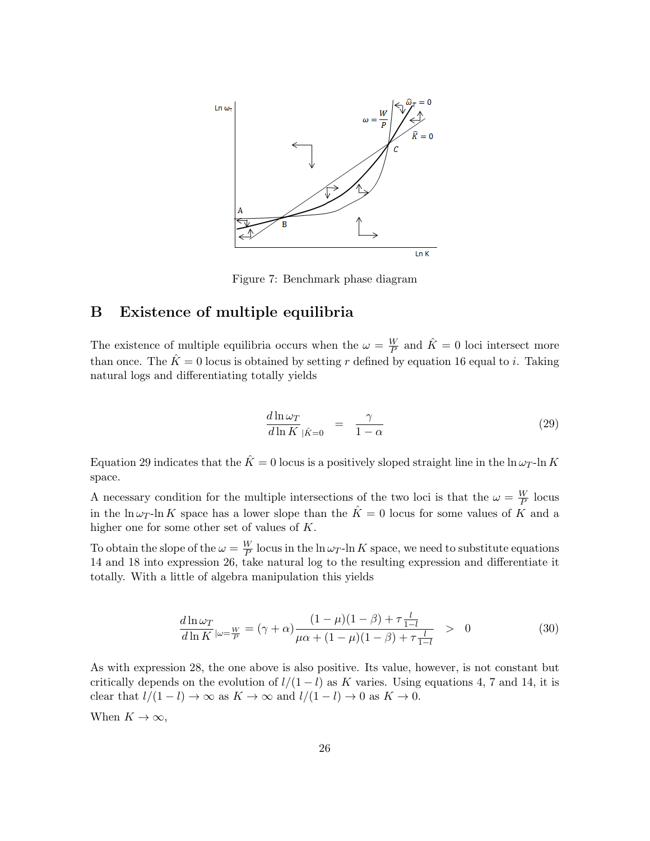

Figure 7: Benchmark phase diagram

#### B Existence of multiple equilibria

The existence of multiple equilibria occurs when the  $\omega = \frac{W}{P}$  $\frac{W}{P}$  and  $\hat{K} = 0$  loci intersect more than once. The  $\hat{K} = 0$  locus is obtained by setting r defined by equation 16 equal to i. Taking natural logs and differentiating totally yields

$$
\frac{d\ln\omega_T}{d\ln K}\Big|_{\hat{K}=0} = \frac{\gamma}{1-\alpha} \tag{29}
$$

Equation 29 indicates that the  $\hat{K} = 0$  locus is a positively sloped straight line in the  $\ln \omega_T$ -ln K space.

A necessary condition for the multiple intersections of the two loci is that the  $\omega = \frac{W}{P}$  $\frac{W}{P}$  locus in the ln  $\omega_T$ -ln K space has a lower slope than the  $\hat{K} = 0$  locus for some values of K and a higher one for some other set of values of K.

To obtain the slope of the  $\omega = \frac{W}{P}$  $\frac{W}{P}$  locus in the ln  $\omega_T$ -ln K space, we need to substitute equations 14 and 18 into expression 26, take natural log to the resulting expression and differentiate it totally. With a little of algebra manipulation this yields

$$
\frac{d\ln\omega_T}{d\ln K}|_{\omega=\frac{W}{P}} = (\gamma + \alpha)\frac{(1-\mu)(1-\beta) + \tau\frac{l}{1-l}}{\mu\alpha + (1-\mu)(1-\beta) + \tau\frac{l}{1-l}} > 0
$$
\n(30)

As with expression 28, the one above is also positive. Its value, however, is not constant but critically depends on the evolution of  $l/(1 - l)$  as K varies. Using equations 4, 7 and 14, it is clear that  $l/(1 - l) \rightarrow \infty$  as  $K \rightarrow \infty$  and  $l/(1 - l) \rightarrow 0$  as  $K \rightarrow 0$ .

When  $K \to \infty$ ,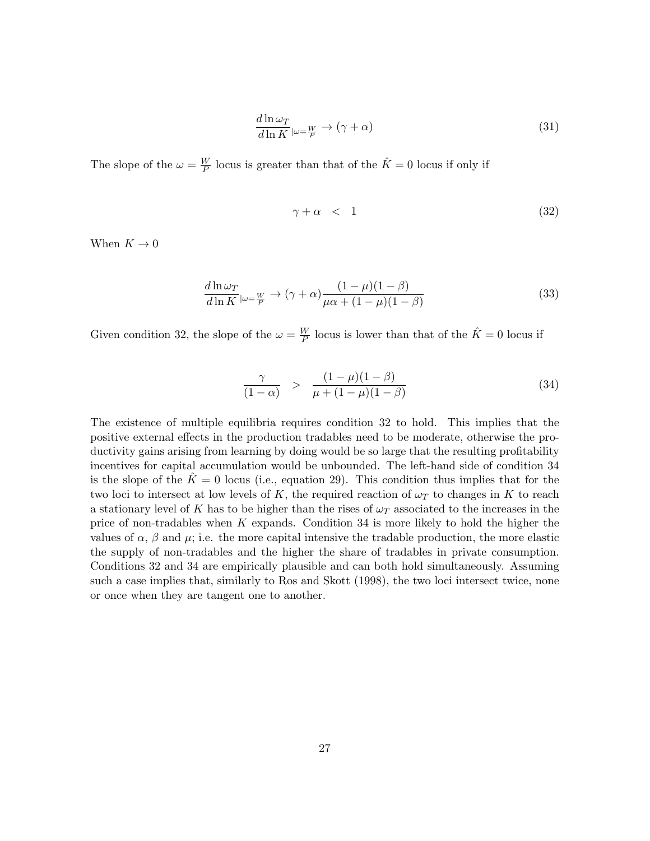$$
\frac{d\ln\omega_T}{d\ln K}\Big|_{\omega=\frac{W}{P}} \to (\gamma + \alpha) \tag{31}
$$

The slope of the  $\omega = \frac{W}{P}$  $\frac{W}{P}$  locus is greater than that of the  $\hat{K} = 0$  locus if only if

$$
\gamma + \alpha < 1 \tag{32}
$$

When  $K \to 0$ 

$$
\frac{d\ln\omega_T}{d\ln K}\Big|_{\omega=\frac{W}{P}} \to (\gamma + \alpha)\frac{(1-\mu)(1-\beta)}{\mu\alpha + (1-\mu)(1-\beta)}\tag{33}
$$

Given condition 32, the slope of the  $\omega = \frac{W}{P}$  $\frac{W}{P}$  locus is lower than that of the  $\hat{K} = 0$  locus if

$$
\frac{\gamma}{(1-\alpha)} \quad > \quad \frac{(1-\mu)(1-\beta)}{\mu+(1-\mu)(1-\beta)} \tag{34}
$$

The existence of multiple equilibria requires condition 32 to hold. This implies that the positive external effects in the production tradables need to be moderate, otherwise the productivity gains arising from learning by doing would be so large that the resulting profitability incentives for capital accumulation would be unbounded. The left-hand side of condition 34 is the slope of the  $\hat{K} = 0$  locus (i.e., equation 29). This condition thus implies that for the two loci to intersect at low levels of K, the required reaction of  $\omega_T$  to changes in K to reach a stationary level of K has to be higher than the rises of  $\omega_T$  associated to the increases in the price of non-tradables when K expands. Condition 34 is more likely to hold the higher the values of  $\alpha$ ,  $\beta$  and  $\mu$ ; i.e. the more capital intensive the tradable production, the more elastic the supply of non-tradables and the higher the share of tradables in private consumption. Conditions 32 and 34 are empirically plausible and can both hold simultaneously. Assuming such a case implies that, similarly to Ros and Skott (1998), the two loci intersect twice, none or once when they are tangent one to another.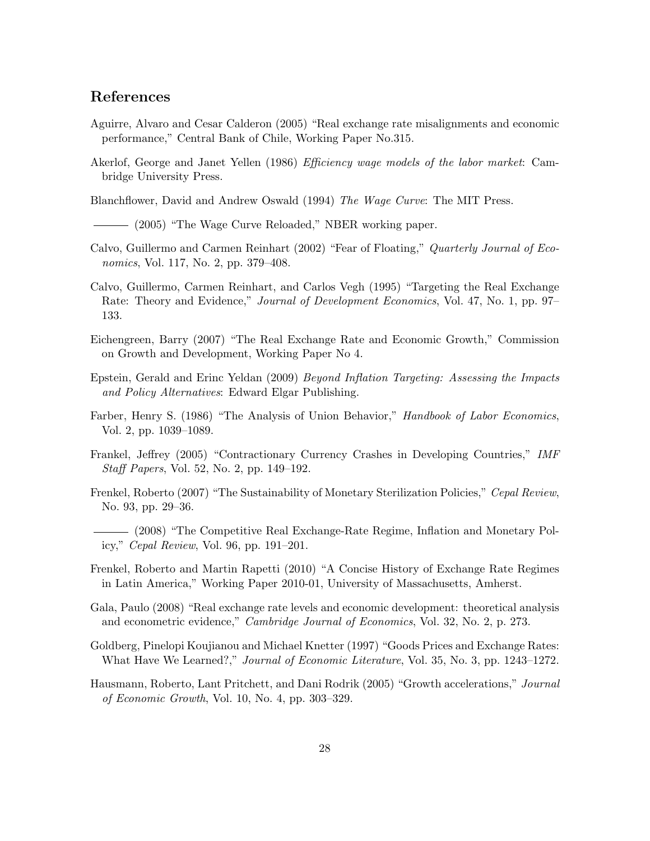#### References

- Aguirre, Alvaro and Cesar Calderon (2005) "Real exchange rate misalignments and economic performance," Central Bank of Chile, Working Paper No.315.
- Akerlof, George and Janet Yellen (1986) Efficiency wage models of the labor market: Cambridge University Press.

Blanchflower, David and Andrew Oswald (1994) The Wage Curve: The MIT Press.

- (2005) "The Wage Curve Reloaded," NBER working paper.
- Calvo, Guillermo and Carmen Reinhart (2002) "Fear of Floating," Quarterly Journal of Economics, Vol. 117, No. 2, pp. 379–408.
- Calvo, Guillermo, Carmen Reinhart, and Carlos Vegh (1995) "Targeting the Real Exchange Rate: Theory and Evidence," *Journal of Development Economics*, Vol. 47, No. 1, pp. 97– 133.
- Eichengreen, Barry (2007) "The Real Exchange Rate and Economic Growth," Commission on Growth and Development, Working Paper No 4.
- Epstein, Gerald and Erinc Yeldan (2009) Beyond Inflation Targeting: Assessing the Impacts and Policy Alternatives: Edward Elgar Publishing.
- Farber, Henry S. (1986) "The Analysis of Union Behavior," Handbook of Labor Economics, Vol. 2, pp. 1039–1089.
- Frankel, Jeffrey (2005) "Contractionary Currency Crashes in Developing Countries," IMF Staff Papers, Vol. 52, No. 2, pp. 149–192.
- Frenkel, Roberto (2007) "The Sustainability of Monetary Sterilization Policies," Cepal Review, No. 93, pp. 29–36.
- (2008) "The Competitive Real Exchange-Rate Regime, Inflation and Monetary Policy," Cepal Review, Vol. 96, pp. 191–201.
- Frenkel, Roberto and Martin Rapetti (2010) "A Concise History of Exchange Rate Regimes in Latin America," Working Paper 2010-01, University of Massachusetts, Amherst.
- Gala, Paulo (2008) "Real exchange rate levels and economic development: theoretical analysis and econometric evidence," Cambridge Journal of Economics, Vol. 32, No. 2, p. 273.
- Goldberg, Pinelopi Koujianou and Michael Knetter (1997) "Goods Prices and Exchange Rates: What Have We Learned?," Journal of Economic Literature, Vol. 35, No. 3, pp. 1243–1272.
- Hausmann, Roberto, Lant Pritchett, and Dani Rodrik (2005) "Growth accelerations," Journal of Economic Growth, Vol. 10, No. 4, pp. 303–329.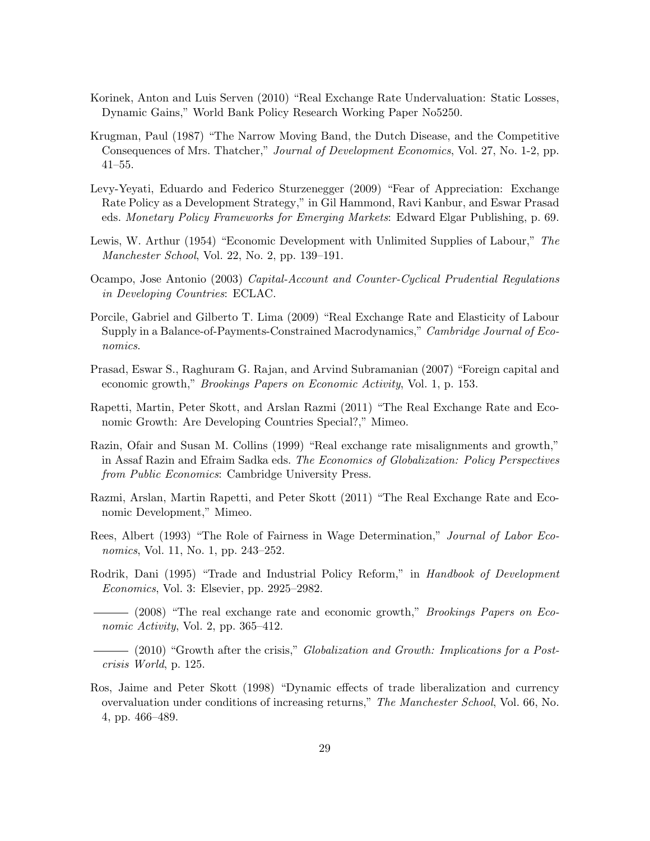- Korinek, Anton and Luis Serven (2010) "Real Exchange Rate Undervaluation: Static Losses, Dynamic Gains," World Bank Policy Research Working Paper No5250.
- Krugman, Paul (1987) "The Narrow Moving Band, the Dutch Disease, and the Competitive Consequences of Mrs. Thatcher," Journal of Development Economics, Vol. 27, No. 1-2, pp. 41–55.
- Levy-Yeyati, Eduardo and Federico Sturzenegger (2009) "Fear of Appreciation: Exchange Rate Policy as a Development Strategy," in Gil Hammond, Ravi Kanbur, and Eswar Prasad eds. Monetary Policy Frameworks for Emerging Markets: Edward Elgar Publishing, p. 69.
- Lewis, W. Arthur (1954) "Economic Development with Unlimited Supplies of Labour," The Manchester School, Vol. 22, No. 2, pp. 139–191.
- Ocampo, Jose Antonio (2003) Capital-Account and Counter-Cyclical Prudential Regulations in Developing Countries: ECLAC.
- Porcile, Gabriel and Gilberto T. Lima (2009) "Real Exchange Rate and Elasticity of Labour Supply in a Balance-of-Payments-Constrained Macrodynamics," Cambridge Journal of Economics.
- Prasad, Eswar S., Raghuram G. Rajan, and Arvind Subramanian (2007) "Foreign capital and economic growth," Brookings Papers on Economic Activity, Vol. 1, p. 153.
- Rapetti, Martin, Peter Skott, and Arslan Razmi (2011) "The Real Exchange Rate and Economic Growth: Are Developing Countries Special?," Mimeo.
- Razin, Ofair and Susan M. Collins (1999) "Real exchange rate misalignments and growth," in Assaf Razin and Efraim Sadka eds. The Economics of Globalization: Policy Perspectives from Public Economics: Cambridge University Press.
- Razmi, Arslan, Martin Rapetti, and Peter Skott (2011) "The Real Exchange Rate and Economic Development," Mimeo.
- Rees, Albert (1993) "The Role of Fairness in Wage Determination," Journal of Labor Economics, Vol. 11, No. 1, pp. 243–252.
- Rodrik, Dani (1995) "Trade and Industrial Policy Reform," in Handbook of Development Economics, Vol. 3: Elsevier, pp. 2925–2982.

 $-$  (2008) "The real exchange rate and economic growth," *Brookings Papers on Eco*nomic Activity, Vol. 2, pp. 365–412.

- (2010) "Growth after the crisis," Globalization and Growth: Implications for a Postcrisis World, p. 125.

Ros, Jaime and Peter Skott (1998) "Dynamic effects of trade liberalization and currency overvaluation under conditions of increasing returns," The Manchester School, Vol. 66, No. 4, pp. 466–489.